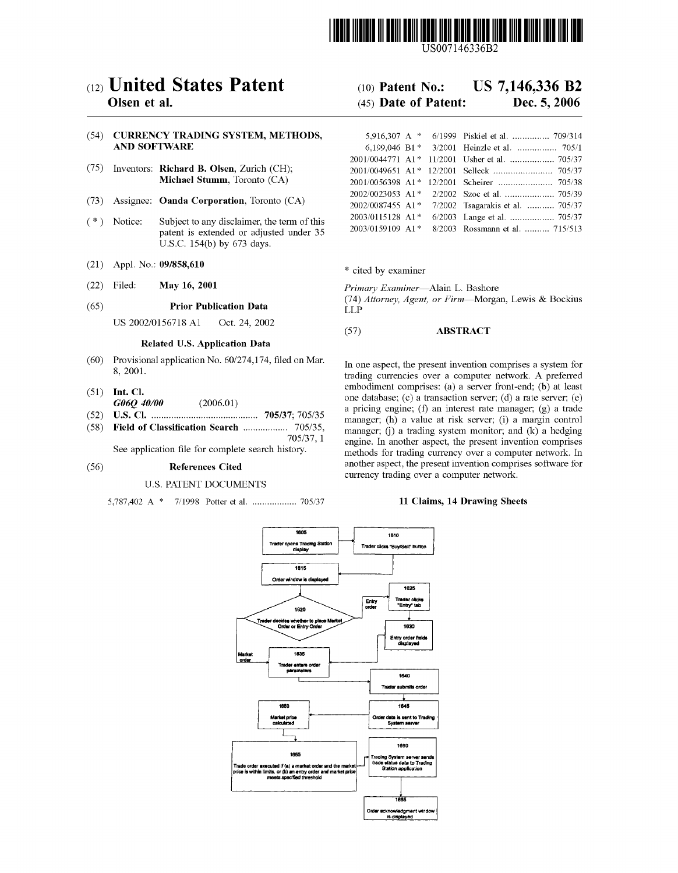

US007146336B2

## c12) **United States Patent**

### **Olsen et al.**

#### (54) **CURRENCY TRADING SYSTEM, METHODS, AND SOFTWARE**

- (75) Inventors: **Richard B. Olsen,** Zurich (CH); **Michael Stumm,** Toronto (CA)
- (73) Assignee: **Oanda Corporation,** Toronto (CA)
- ( \*) Notice: Subject to any disclaimer, the term of this patent is extended or adjusted under 35 U.S.C. 154(b) by 673 days.
- (21) Appl. No.: **09/858,610**
- (22) Filed: **May 16, 2001**
- (65) **Prior Publication Data**

US 2002/0156718 A1 Oct. 24, 2002

#### **Related U.S. Application Data**

- (60) Provisional application No. 60/274,174, filed on Mar. 8, 2001.
- (51) **Int. Cl.**
- *G06Q 40100* (2006.01)
- (52) **U.S. Cl.** ........................................... **705/37;** 705/35 (58) **Field of Classification Search** .................. 705/35,

705/37, 1 See application file for complete search history.

#### (56) **References Cited**

#### U.S. PATENT DOCUMENTS

5,787,402 A \* 7/1998 Potter et al ................... 705/37

## (IO) **Patent No.: US 7,146,336 B2**

### (45) **Date of Patent: Dec. 5, 2006**

| 5.916.307 A $*$  | 6/1999 Piskiel et al.  709/314                |
|------------------|-----------------------------------------------|
|                  | 6.199.046 B1 * 3/2001 Heinzle et al.  705/1   |
|                  | 2001/0044771 A1* 11/2001 Usher et al.  705/37 |
|                  |                                               |
|                  |                                               |
| 2002/0023053 A1* |                                               |
| 2002/0087455 A1* | 7/2002 Tsagarakis et al.  705/37              |
| 2003/0115128 A1* |                                               |
| 2003/0159109 A1* | 8/2003 Rossmann et al.  715/513               |

\* cited by examiner

*Primary Examiner-Alain* L. Bashore

(74) *Attorney, Agent, or Firm-Morgan,* Lewis & Bockius LLP

### (57) **ABSTRACT**

In one aspect, the present invention comprises a system for trading currencies over a computer network. A preferred embodiment comprises: (a) a server front-end; (b) at least one database;  $(c)$  a transaction server;  $(d)$  a rate server;  $(e)$ a pricing engine; (f) an interest rate manager; (g) a trade manager; (h) a value at risk server; (i) a margin control manager;  $(i)$  a trading system monitor; and  $(k)$  a hedging engine. In another aspect, the present invention comprises methods for trading currency over a computer network. In another aspect, the present invention comprises software for currency trading over a computer network.

#### **11 Claims, 14 Drawing Sheets**

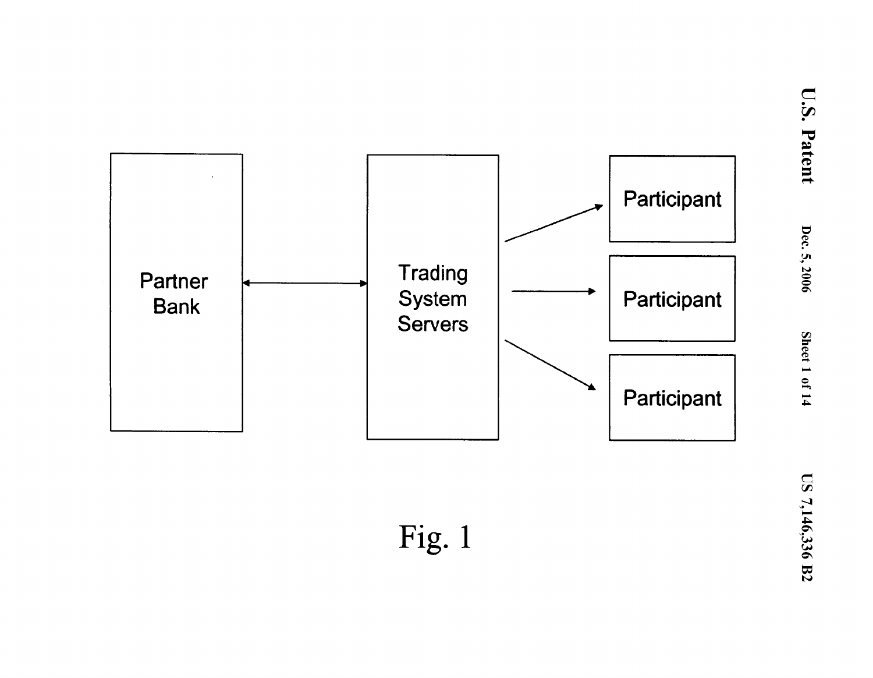

Fig.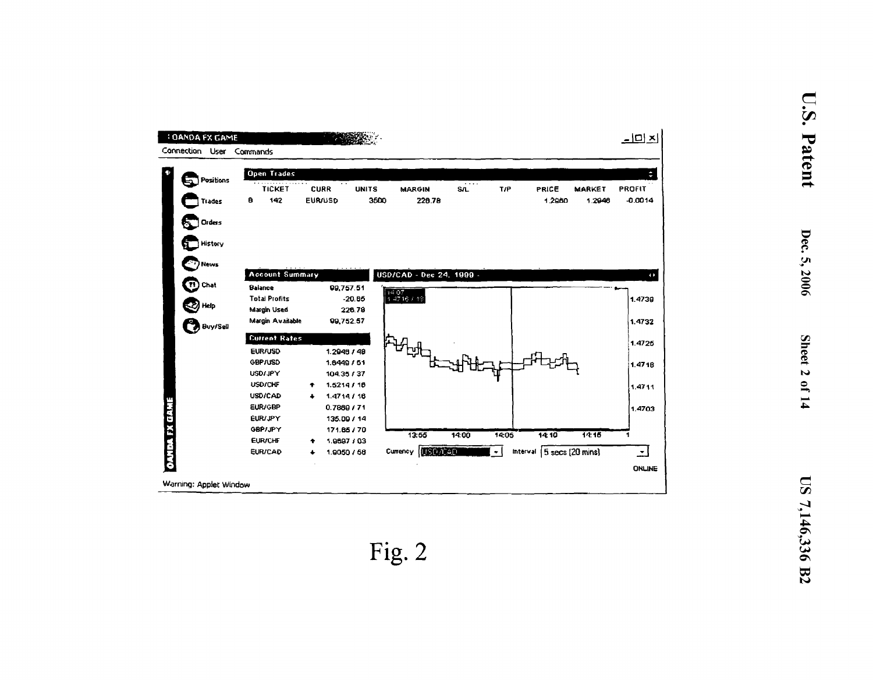| <b>: OANDA FX GAME</b><br>Connection User | Commands |                                                                                                                                                             |        |                                                                                                                                                |                    |                           |                                   |                          |             |                                             |               | $\underline{\perp} \underline{\square} \underline{\times}$ |
|-------------------------------------------|----------|-------------------------------------------------------------------------------------------------------------------------------------------------------------|--------|------------------------------------------------------------------------------------------------------------------------------------------------|--------------------|---------------------------|-----------------------------------|--------------------------|-------------|---------------------------------------------|---------------|------------------------------------------------------------|
| Positions                                 |          | <b>Open Trades</b><br><b>TICKET</b>                                                                                                                         |        | . .<br><b>CURR</b>                                                                                                                             | <b>UNITS</b>       | <b>MARGIN</b>             |                                   | $\cdots$<br><b>S/L</b>   | T/P         | PRICE                                       | <b>MARKET</b> | ÷<br><b>PROFIT</b>                                         |
| Trades                                    | a        | 142                                                                                                                                                         |        | <b>EUR/USD</b>                                                                                                                                 | 3500               |                           | 226.78                            |                          |             | 1.2960                                      | 1.2948        | $-0.0014$                                                  |
| Orders                                    |          |                                                                                                                                                             |        |                                                                                                                                                |                    |                           |                                   |                          |             |                                             |               |                                                            |
| History                                   |          |                                                                                                                                                             |        |                                                                                                                                                |                    |                           |                                   |                          |             |                                             |               |                                                            |
| News                                      |          |                                                                                                                                                             |        |                                                                                                                                                |                    |                           |                                   |                          |             |                                             |               |                                                            |
| Chat                                      |          | <b>Account Summary</b><br><b>Balance</b>                                                                                                                    |        | 99,757.51                                                                                                                                      |                    |                           |                                   | USD/CAD - Dec 24, 1999 - |             |                                             |               | $\leftrightarrow$                                          |
| Help                                      |          | <b>Total Profits</b><br><b>Margin Used</b>                                                                                                                  |        |                                                                                                                                                | $-20.85$<br>226.78 | $\frac{1407}{14716}$ / 13 |                                   |                          |             |                                             |               | 1.4739                                                     |
| <b>B</b> Buy/Sell                         |          | Margin Available                                                                                                                                            |        | 99,752.57                                                                                                                                      |                    |                           |                                   |                          |             |                                             |               | 1.4732                                                     |
|                                           |          | <b>Current Rates</b>                                                                                                                                        |        |                                                                                                                                                |                    |                           |                                   |                          |             |                                             |               | 1.4725                                                     |
|                                           |          | <b>EUR/USD</b><br><b>GBP/USD</b><br><b>USD/JPY</b><br><b>USD/CHF</b><br>USD/CAD<br>EUR/GBP<br><b>EUR/JPY</b><br>GBP/JPY<br><b>EUR/CHF</b><br><b>EUR/CAD</b> | ٠<br>۰ | 1.2946 / 48<br>1.6449 / 51<br>104.35 / 37<br>1.5214/16<br>1.4714/16<br>0.7869 / 71<br>135.09 / 14<br>171.65 / 70<br>1.9697 / 03<br>1.9050 / 58 |                    | Currency                  | ロルー<br>13:55<br><b>CERCATEGIN</b> | 14:00                    | 14:05<br>۰I | 14:10<br>Interval $\sqrt{5}$ secs (20 mins) | 14:16         | 1.4718<br>1.4711<br>1.4703<br>٠<br>$\blacktriangledown$    |
|                                           |          |                                                                                                                                                             |        |                                                                                                                                                |                    |                           |                                   |                          |             |                                             |               | <b>ONLINE</b>                                              |
| Warning: Applet Window                    |          |                                                                                                                                                             |        |                                                                                                                                                |                    |                           |                                   |                          |             |                                             |               |                                                            |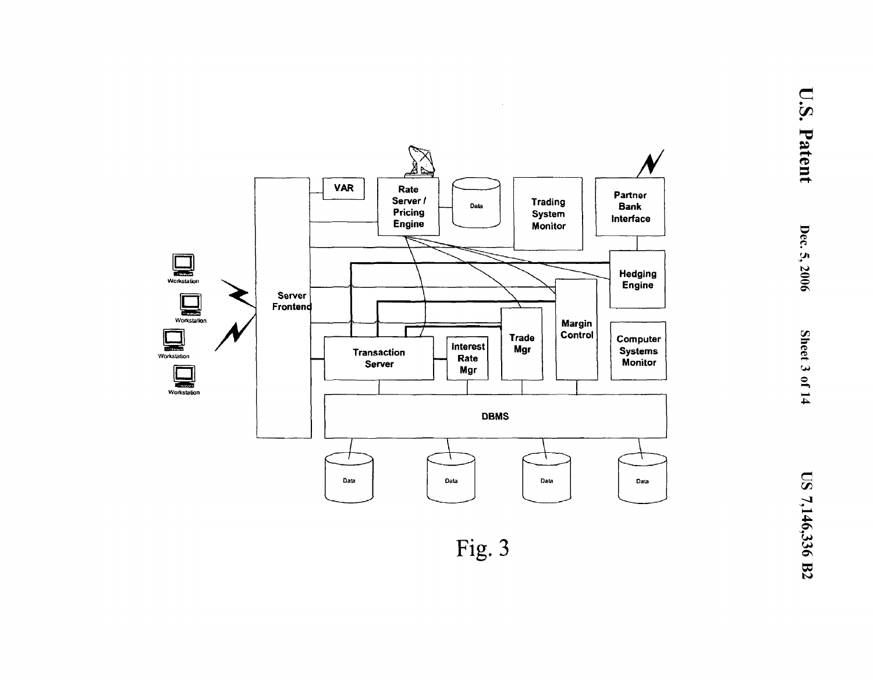

Fig. 3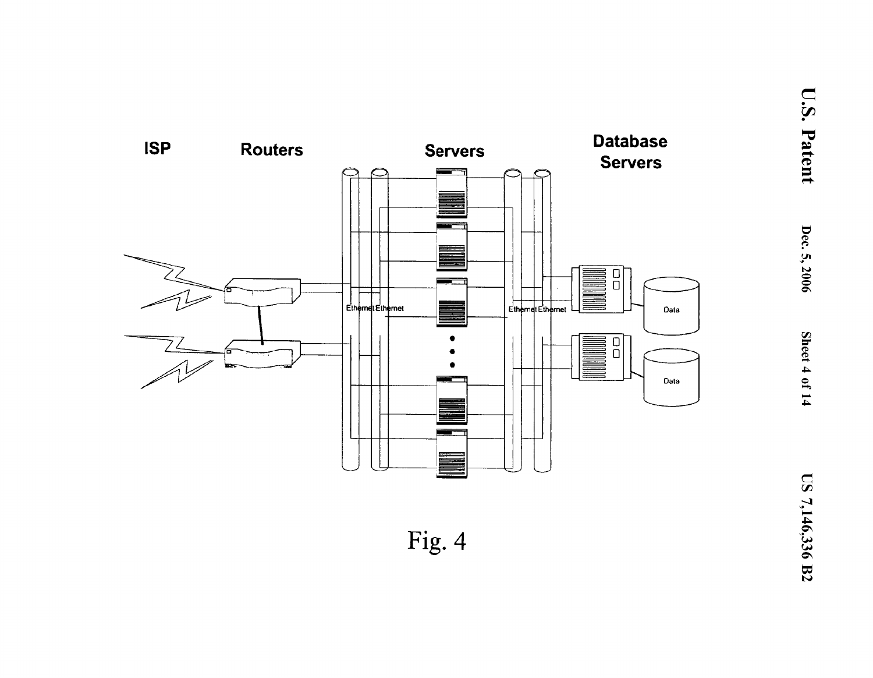

Fig. 4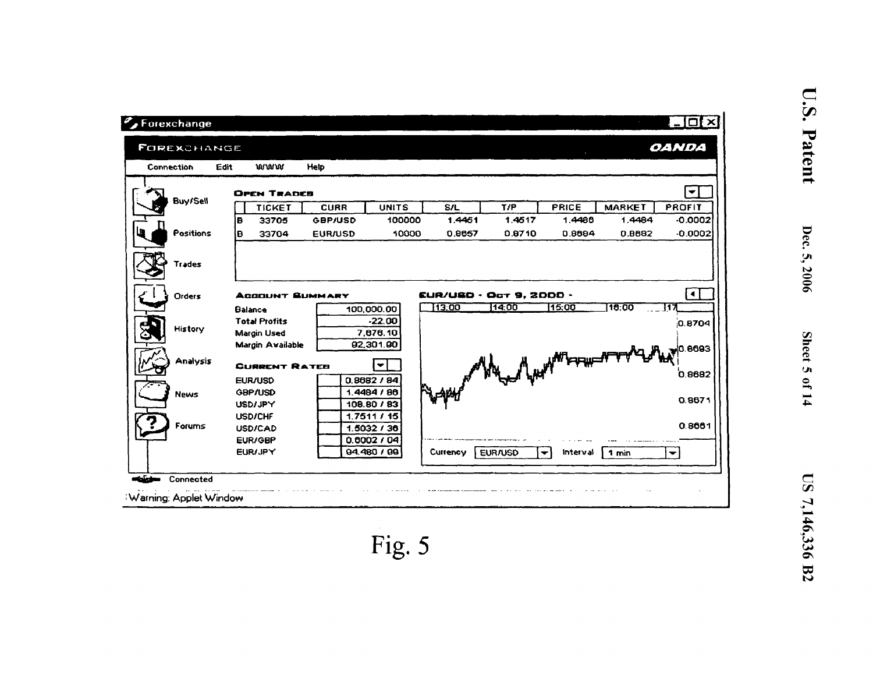| Connection  | Edit           | www                                                     | Help           |                                         |                                  |         |                                  |                                               |                      |
|-------------|----------------|---------------------------------------------------------|----------------|-----------------------------------------|----------------------------------|---------|----------------------------------|-----------------------------------------------|----------------------|
|             |                | <b>OPEN TRADEB</b>                                      |                |                                         |                                  |         |                                  |                                               | ▼                    |
| Buy/Sell    |                | <b>TICKET</b>                                           | <b>CURR</b>    | <b>UNITS</b>                            | <b>S/L</b>                       | T/P     | <b>PRICE</b>                     | <b>MARKET</b>                                 | PROFIT               |
|             | İB             | 33705                                                   | <b>GBP/USD</b> | 100000                                  | 1.4461                           | 1.4517  | 1.4486                           | 1.4484                                        | $-0.0002$            |
| Positions   | Ð              | 33704                                                   | <b>EUR/USD</b> | 10000                                   | 0.8657                           | 0.8710  | 0.8884                           | 0.8882                                        | $-0.0002$            |
| Trades      |                |                                                         |                |                                         |                                  |         |                                  |                                               |                      |
| Orders      | <b>Balance</b> | <b>ACCOUNT SUMMARY</b>                                  |                | 100,000.00                              | EUR/USD · Oct 9, 2000 ·<br>13.00 | 14:00   | 15:00                            | 16.00                                         | ◀<br>117             |
| History     |                | <b>Total Profits</b><br>Margin Used<br>Margin Available |                | $-22.00$<br>7,676.10<br>92,301.90       |                                  |         |                                  |                                               | 0.8704               |
| Analysis    |                | <b>CURRENT RATEB</b>                                    |                | $\blacktriangledown$                    |                                  |         |                                  |                                               |                      |
| <b>News</b> |                | <b>EUR/USD</b><br><b>GBP/USD</b><br><b>USD/JPY</b>      |                | 0.8682 / 84<br>1.4484/86<br>108.80 / 83 |                                  |         |                                  | A special the part of the street of the coss! |                      |
| Forums      |                | <b>USD/CHF</b><br><b>USD/CAD</b>                        |                | 1.7511/15<br>1.5032 / 36                |                                  |         |                                  |                                               | 0.8661               |
|             |                | EUR/GBP<br>EUR/JPY                                      |                | 0.6002 / 04<br>94.480 / 99              | Currency                         | EUR/USD | Interval<br>$\blacktriangledown$ | 1 min                                         | $\blacktriangledown$ |

U.S. Patent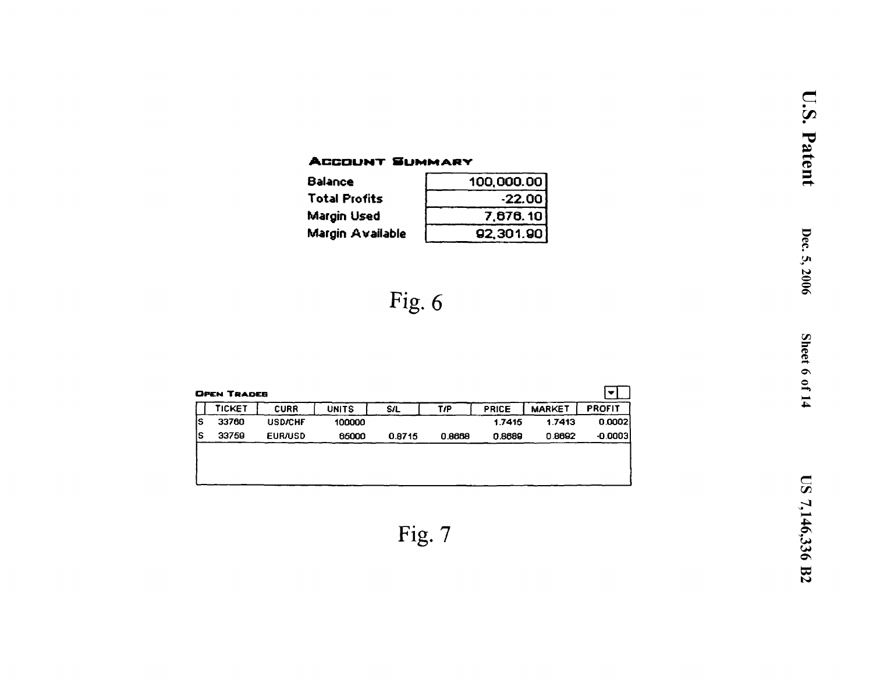## **ACCOUNT SUMMARY**

| <b>Balance</b>          | 100,000.00 |
|-------------------------|------------|
| <b>Total Profits</b>    | $-22.00$   |
| Margin Used             | 7,676.10   |
| <b>Margin Available</b> | 92,301.90  |

## Fig.  $6$

|    | <b>OPEN TRADEB</b> |                |              |            |        |              |               | $\bullet$     |
|----|--------------------|----------------|--------------|------------|--------|--------------|---------------|---------------|
|    | TICKET             | <b>CURR</b>    | <b>UNITS</b> | <b>S/L</b> | T/P    | <b>PRICE</b> | <b>MARKET</b> | <b>PROFIT</b> |
| lS | 33760              | <b>USD/CHF</b> | 100000       |            |        | 1.7415       | 1.7413        | 0.0002        |
| IS | 33759              | <b>EUR/USD</b> | 65000        | 0.8715     | 0.8668 | 0.8689       | 0.8692        | $-0.0003$     |
|    |                    |                |              |            |        |              |               |               |
|    |                    |                |              |            |        |              |               |               |
|    |                    |                |              |            |        |              |               |               |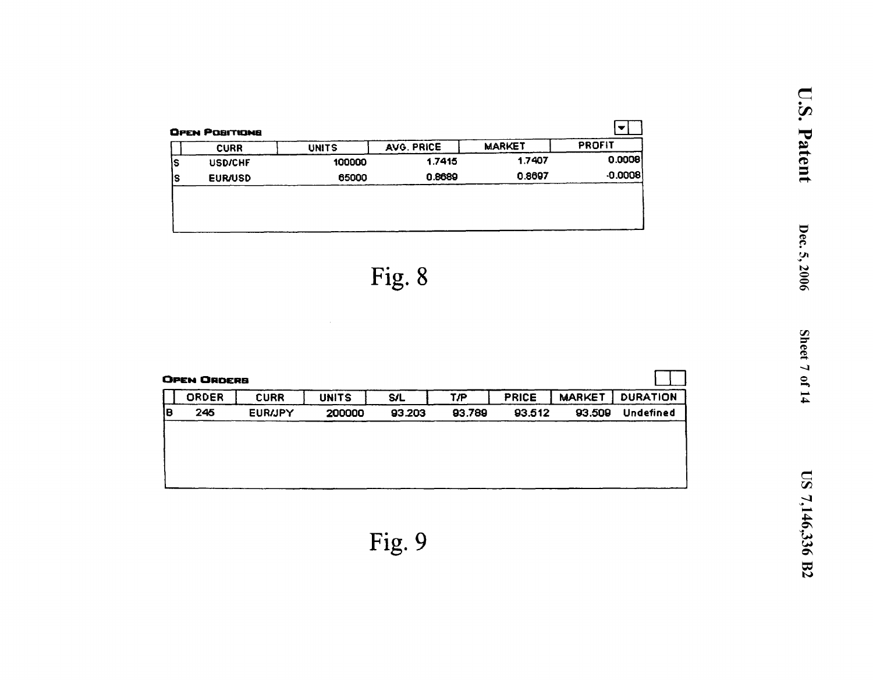|    | <b>CURR</b>    | <b>UNITS</b> | AVG. PRICE | <b>MARKET</b> | <b>PROFIT</b> |
|----|----------------|--------------|------------|---------------|---------------|
| ıs | <b>USD/CHF</b> | 100000       | 1.7415     | 1.7407        | 0.0008        |
| lS | <b>EUR/USD</b> | 65000        | 0.8689     | 0.8697        | $-0.0008$     |
|    |                |              |            |               |               |

 $\sim 10$ 

|    | <b>OPEN ORDERS</b> |                |              |            |        |              |               |                 |
|----|--------------------|----------------|--------------|------------|--------|--------------|---------------|-----------------|
|    | ORDER              | <b>CURR</b>    | <b>UNITS</b> | <b>S/L</b> | T/P    | <b>PRICE</b> | <b>MARKET</b> | <b>DURATION</b> |
| ΙB | 245                | <b>EUR/JPY</b> | 200000       | 93.203     | 93.789 | 93.512       | 93.509        | Undefined       |
|    |                    |                |              |            |        |              |               |                 |
|    |                    |                |              |            |        |              |               |                 |
|    |                    |                |              |            |        |              |               |                 |
|    |                    |                |              |            |        |              |               |                 |
|    |                    |                |              |            |        |              |               |                 |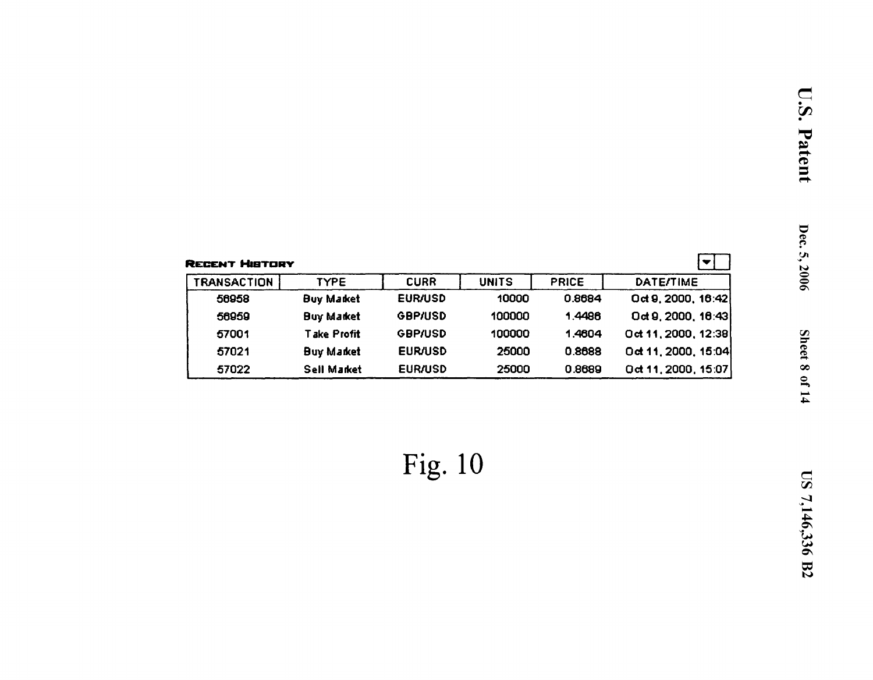| <b>RECENT HIBTORY</b> |                   |                |              |              |                      |
|-----------------------|-------------------|----------------|--------------|--------------|----------------------|
| <b>TRANSACTION</b>    | <b>TYPE</b>       | <b>CURR</b>    | <b>UNITS</b> | <b>PRICE</b> | <b>DATE/TIME</b>     |
| 56958                 | <b>Buy Market</b> | <b>EUR/USD</b> | 10000        | 0.8684       | Oct 9, 2000, 16:42   |
| 56959                 | <b>Buy Market</b> | <b>GBP/USD</b> | 100000       | 1.4486       | $0$ d 9, 2000, 16:43 |
| 57001                 | Take Profit       | <b>GBP/USD</b> | 100000       | 1.4604       | Oct 11, 2000, 12:38  |
| 57021                 | <b>Buy Market</b> | <b>EUR/USD</b> | 25000        | 0.8688       | Oct 11, 2000, 15:04  |
| 57022                 | Sell Market       | <b>EUR/USD</b> | 25000        | 0.8689       | Oct 11, 2000, 15:07  |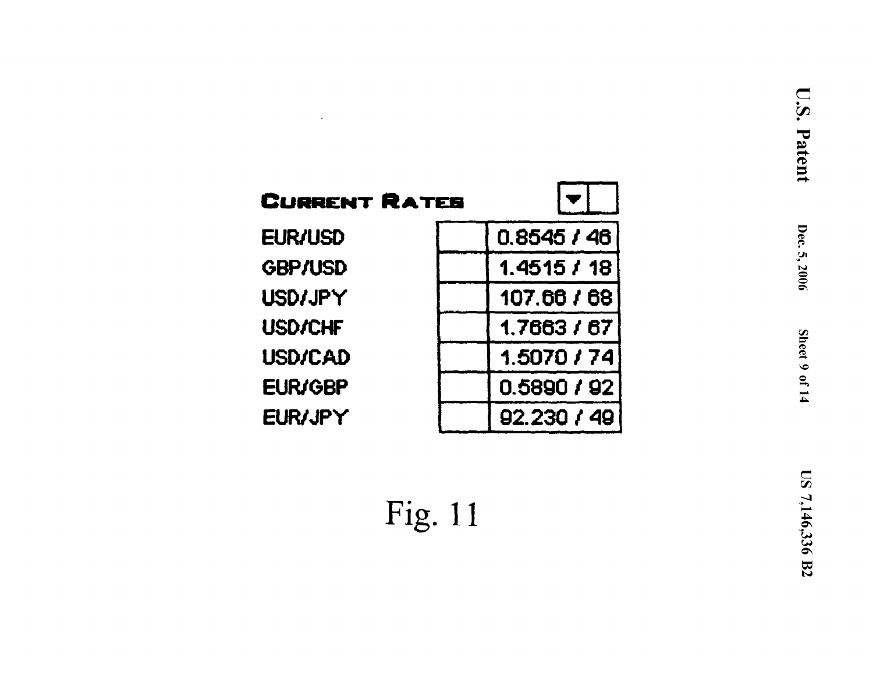| CURRENT RATES  |  |
|----------------|--|
| EUR/USD        |  |
| <b>GBP/USD</b> |  |
| USD/JPY        |  |
| <b>USD/CHF</b> |  |
| USD/CAD        |  |
| <b>EUR/GBP</b> |  |
| <b>EUR/JPY</b> |  |
|                |  |

| 0.8545/46   |
|-------------|
| 1.4515/18   |
| 107.66 / 68 |
| 1.7663 / 67 |
| 1.5070 / 74 |
| 0.5890 / 92 |
| 92.230 / 49 |

**Tall**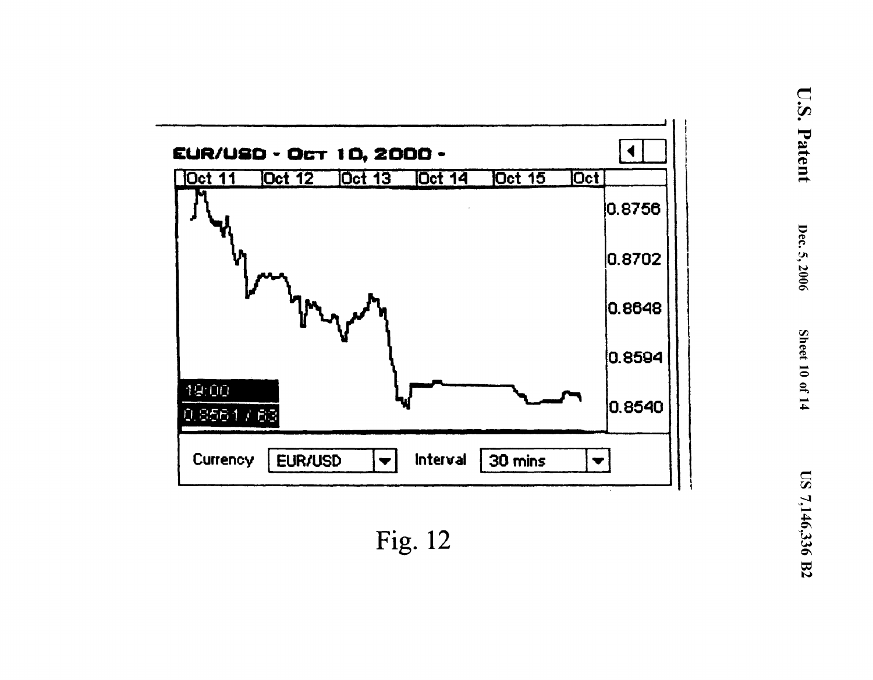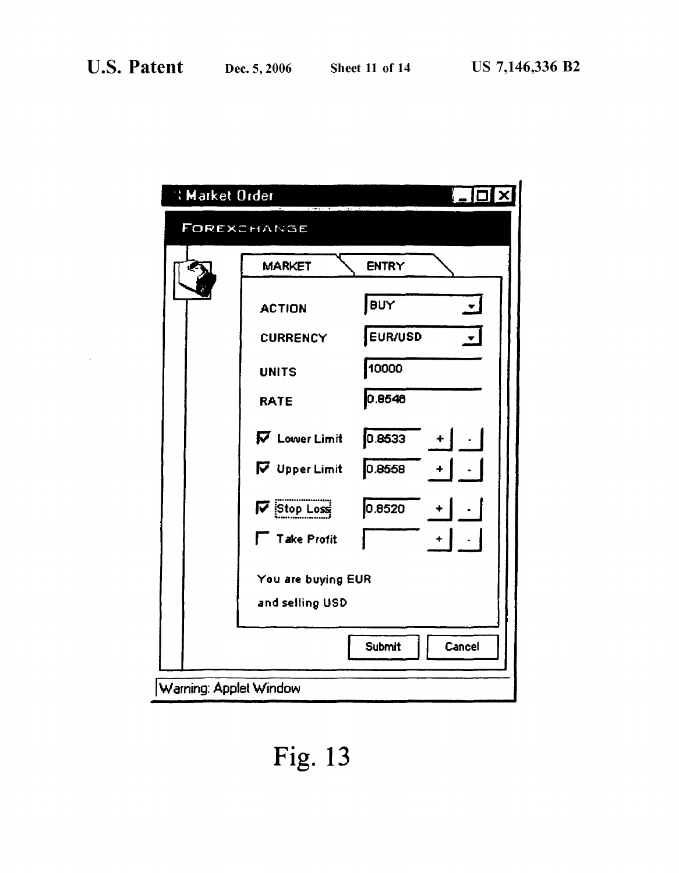$\sim$ 

| <b>Warket Order</b>    |                           |                                     |
|------------------------|---------------------------|-------------------------------------|
|                        | FOREXCHANGE               |                                     |
|                        | <b>MARKET</b>             | <b>ENTRY</b>                        |
|                        | <b>ACTION</b>             | BUY<br>$\blacktriangledown$         |
|                        | <b>CURRENCY</b>           | EUR/USD<br>$\overline{\phantom{a}}$ |
|                        | <b>UNITS</b>              | 10000                               |
|                        | <b>RATE</b>               | 0.8546                              |
|                        | <b>V</b> Lower Limit      | 0.8533                              |
|                        | V Upper Limit             | 0.8558                              |
|                        | $\triangledown$ Stop Loss | 0.8520                              |
|                        | <b>Take Profit</b>        | ÷                                   |
|                        | You are buying EUR        |                                     |
|                        | and selling USD           |                                     |
|                        |                           | Cancel<br>Submit                    |
| Warning: Applet Window |                           |                                     |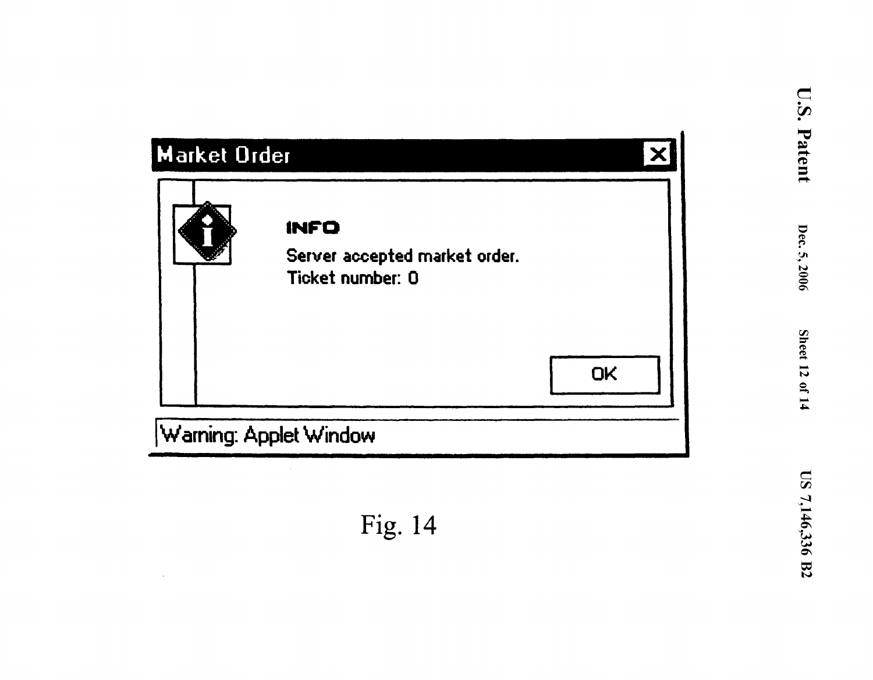| <b>Market Order</b>    |                                                           |    |
|------------------------|-----------------------------------------------------------|----|
|                        | INFO<br>Server accepted market order.<br>Ticket number: 0 | OK |
| Warning: Applet Window |                                                           |    |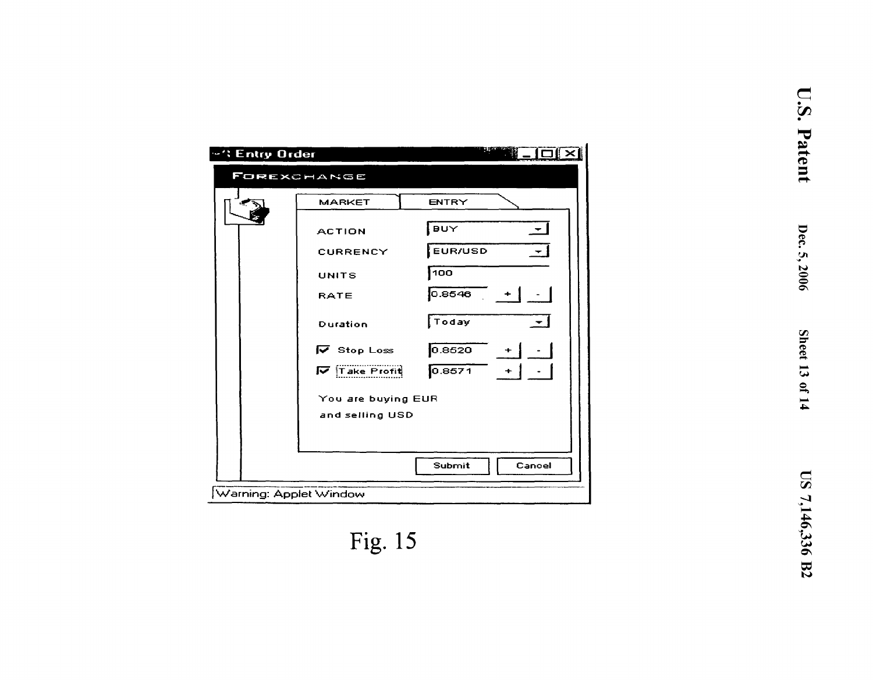| <b>"': Entry Order</b> |                                   |                            |
|------------------------|-----------------------------------|----------------------------|
|                        | FOREXCHANGE                       |                            |
|                        | <b>MARKET</b>                     | ENTRY                      |
|                        | <b>ACTION</b>                     | ¦ ∋u∀<br>$\mathbf{r}$      |
|                        | <b>CURRENCY</b>                   | <b>EUR/USD</b><br>$\div$ 1 |
|                        | UNITS                             | 100                        |
|                        | <b>RATE</b>                       | 0.8546                     |
|                        | Duration                          | $\sqrt{T}$ oday            |
|                        | $\overline{\mathsf{v}}$ Stop Loss | 0.8520                     |
|                        | $\overline{V}$ Take Profit        | 0.8571<br>$+$ 1            |
|                        | You are buying EUR                |                            |
|                        | and selling USD                   |                            |
|                        |                                   |                            |
|                        |                                   | Submit<br>Cancel           |
| Warning: Applet Window |                                   |                            |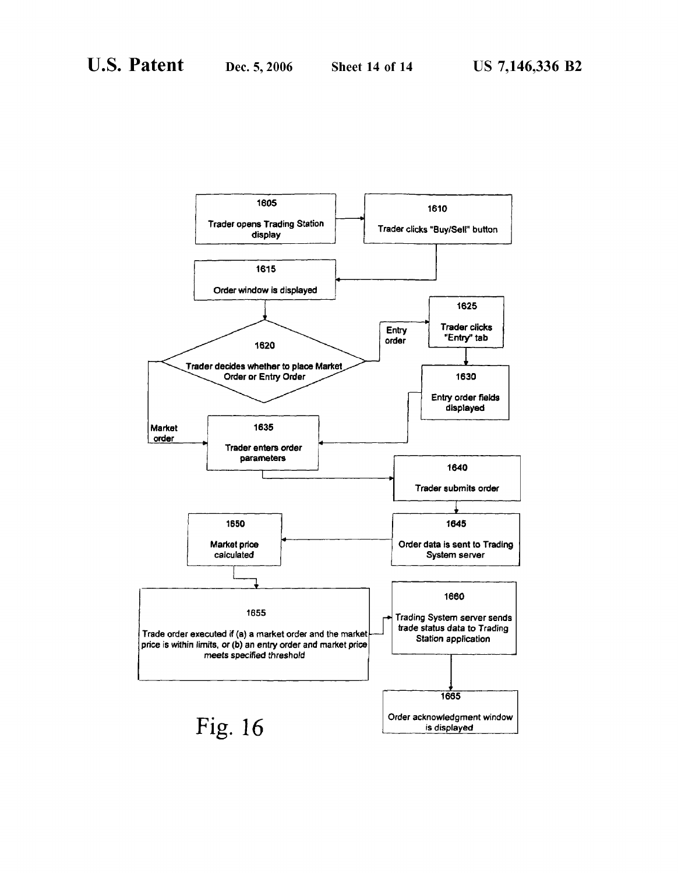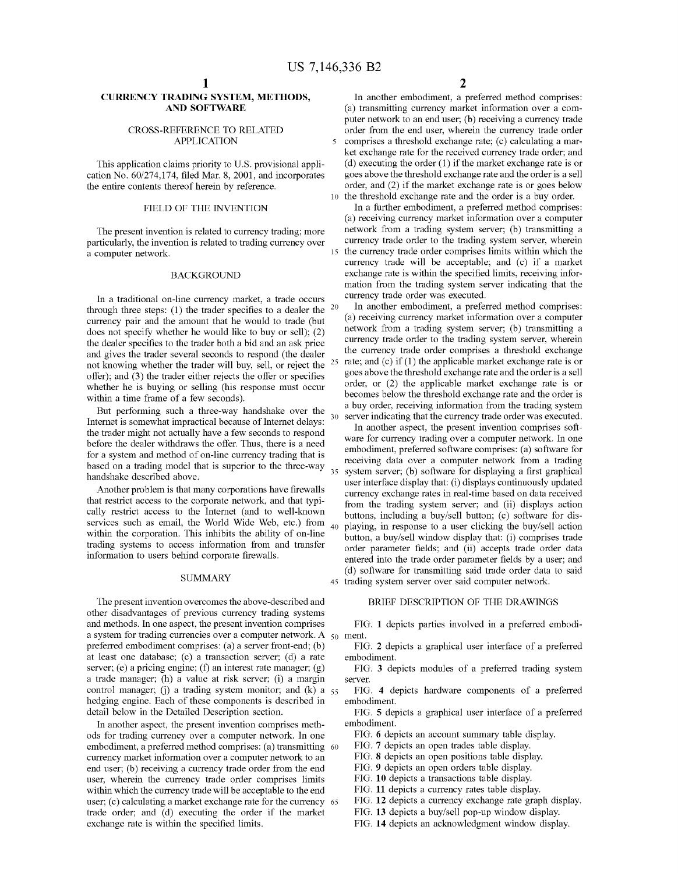#### **CURRENCY TRADING SYSTEM, METHODS, AND SOFTWARE**

#### CROSS-REFERENCE TO RELATED APPLICATION

This application claims priority to U.S. provisional application No. 60/274,174, filed Mar. 8, 2001, and incorporates the entire contents thereof herein by reference.

#### FIELD OF THE INVENTION

The present invention is related to currency trading; more particularly, the invention is related to trading currency over a computer network.

#### BACKGROUND

In a traditional on-line currency market, a trade occurs through three steps: (1) the trader specifies to a dealer the  $20$ currency pair and the amount that he would to trade (but does not specify whether he would like to buy or sell); (2) the dealer specifies to the trader both a bid and an ask price and gives the trader several seconds to respond (the dealer not knowing whether the trader will buy, sell, or reject the <sup>25</sup> offer); and (3) the trader either rejects the offer or specifies whether he is buying or selling (his response must occur within a time frame of a few seconds).

Internet is somewhat impractical because of Internet delays: the trader might not actually have a few seconds to respond before the dealer withdraws the offer. Thus, there is a need for a system and method of on-line currency trading that is based on a trading model that is superior to the three-way handshake described above.

Another problem is that many corporations have firewalls that restrict access to the corporate network, and that typically restrict access to the Internet (and to well-known services such as email, the World Wide Web, etc.) from  $_{40}$ within the corporation. This inhibits the ability of on-line trading systems to access information from and transfer information to users behind corporate firewalls.

#### **SUMMARY**

The present invention overcomes the above-described and other disadvantages of previous currency trading systems and methods. In one aspect, the present invention comprises a system for trading currencies over a computer network. A  $_{50}$  ment. preferred embodiment comprises: (a) a server front-end; (b) at least one database;  $(c)$  a transaction server;  $(d)$  a rate server; (e) a pricing engine; (f) an interest rate manager; (g) a trade manager; (h) a value at risk server; (i) a margin control manager; (j) a trading system monitor; and  $(k)$  a  $55$ hedging engine. Each of these components is described in detail below in the Detailed Description section.

In another aspect, the present invention comprises methods for trading currency over a computer network. In one embodiment, a preferred method comprises: (a) transmitting 60 currency market information over a computer network to an end user; (b) receiving a currency trade order from the end user, wherein the currency trade order comprises limits within which the currency trade will be acceptable to the end user; (c) calculating a market exchange rate for the currency 65 trade order; and (d) executing the order if the market exchange rate is within the specified limits.

**2** 

In another embodiment, a preferred method comprises: (a) transmitting currency market information over a computer network to an end user; (b) receiving a currency trade order from the end user, wherein the currency trade order 5 comprises a threshold exchange rate; (c) calculating a market exchange rate for the received currency trade order; and (d) executing the order (1) if the market exchange rate is or goes above the threshold exchange rate and the order is a sell order, and (2) if the market exchange rate is or goes below 10 the threshold exchange rate and the order is a buy order.

In a further embodiment, a preferred method comprises: (a) receiving currency market information over a computer network from a trading system server; (b) transmitting a currency trade order to the trading system server, wherein the currency trade order comprises limits within which the currency trade will be acceptable; and (c) if a market exchange rate is within the specified limits, receiving information from the trading system server indicating that the currency trade order was executed.

In another embodiment, a preferred method comprises: (a) receiving currency market information over a computer network from a trading system server; (b) transmitting a currency trade order to the trading system server, wherein the currency trade order comprises a threshold exchange rate; and  $(c)$  if  $(1)$  the applicable market exchange rate is or goes above the threshold exchange rate and the order is a sell order, or (2) the applicable market exchange rate is or becomes below the threshold exchange rate and the order is a buy order, receiving information from the trading system But performing such a three-way handshake over the server indicating that the currency trade order was executed.

> In another aspect, the present invention comprises software for currency trading over a computer network. In one embodiment, preferred software comprises: (a) software for receiving data over a computer network from a trading 35 system server; (b) software for displaying a first graphical user interface display that: (i) displays continuously updated currency exchange rates in real-time based on data received from the trading system server; and (ii) displays action buttons, including a buy/sell button; (c) software for dis-40 playing, in response to a user clicking the buy/sell action button, a buy/sell window display that: (i) comprises trade order parameter fields; and (ii) accepts trade order data entered into the trade order parameter fields by a user; and ( d) software for transmitting said trade order data to said 45 trading system server over said computer network.

#### BRIEF DESCRIPTION OF THE DRAWINGS

FIG. **1** depicts parties involved in a preferred embodi-

FIG. **2** depicts a graphical user interface of a preferred embodiment.

FIG. **3** depicts modules of a preferred trading system server.

FIG. **4** depicts hardware components of a preferred embodiment.

FIG. **5** depicts a graphical user interface of a preferred embodiment.

FIG. **6** depicts an account summary table display.

FIG. **7** depicts an open trades table display.

FIG. **8** depicts an open positions table display.

FIG. **9** depicts an open orders table display.

FIG. **10** depicts a transactions table display.

FIG. **11** depicts a currency rates table display.

FIG. **12** depicts a currency exchange rate graph display.

FIG. **13** depicts a buy/sell pop-up window display.

FIG. **14** depicts an acknowledgment window display.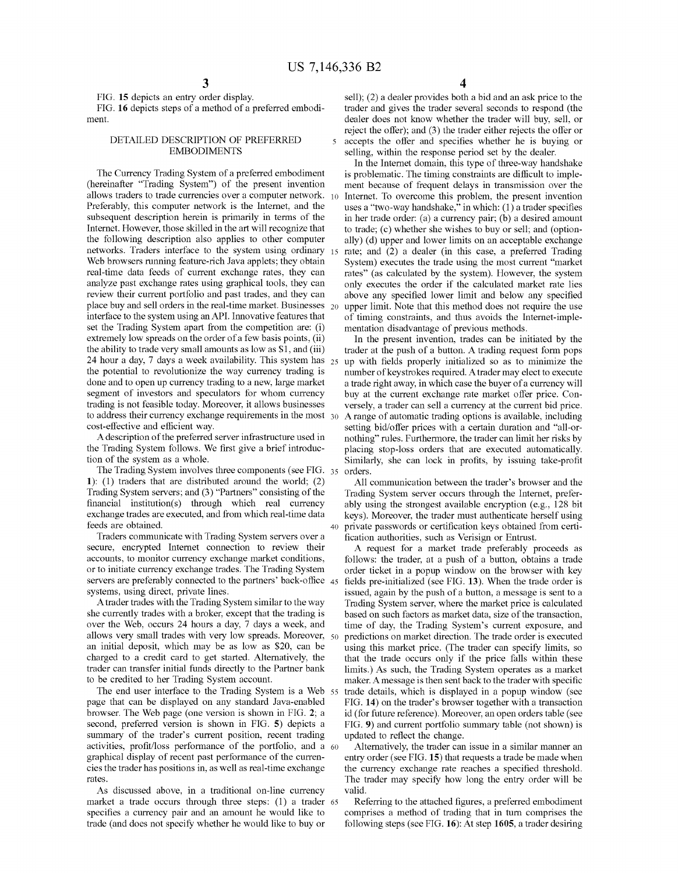FIG. **15** depicts an entry order display.

FIG. **16** depicts steps of a method of a preferred embodiment.

#### DETAILED DESCRIPTION OF PREFERRED EMBODIMENTS

The Currency Trading System of a preferred embodiment (hereinafter "Trading System") of the present invention allows traders to trade currencies over a computer network. 10 Preferably, this computer network is the Internet, and the subsequent description herein is primarily in terms of the Internet. However, those skilled in the art will recognize that the following description also applies to other computer networks. Traders interface to the system using ordinary Web browsers running feature-rich Java applets; they obtain real-time data feeds of current exchange rates, they can analyze past exchange rates using graphical tools, they can review their current portfolio and past trades, and they can place buy and sell orders in the real-time market. Businesses 20 interface to the system using anAPI. Innovative features that set the Trading System apart from the competition are: (i) extremely low spreads on the order of a few basis points, (ii) the ability to trade very small amounts as low as \$1, and (iii) 24 hour a day, 7 days a week availability. This system has  $_{25}$ the potential to revolutionize the way currency trading is done and to open up currency trading to a new, large market segment of investors and speculators for whom currency trading is not feasible today. Moreover, it allows businesses to address their currency exchange requirements in the most 30 cost-effective and efficient way.

A description of the preferred server infrastructure used in the Trading System follows. We first give a brief introduction of the system as a whole.

The Trading System involves three components (see FIG. 35 orders. **1):** (1) traders that are distributed around the world; (2) Trading System servers; and (3) "Partners" consisting of the financial institution(s) through which real currency exchange trades are executed, and from which real-time data feeds are obtained.

Traders communicate with Trading System servers over a secure, encrypted Internet connection to review their accounts, to monitor currency exchange market conditions, or to initiate currency exchange trades. The Trading System servers are preferably connected to the partners' back-office 45 systems, using direct, private lines.

A trader trades with the Trading System similar to the way she currently trades with a broker, except that the trading is over the Web, occurs 24 hours a day, 7 days a week, and allows very small trades with very low spreads. Moreover, an initial deposit, which may be as low as \$20, can be charged to a credit card to get started. Alternatively, the trader can transfer initial funds directly to the Partner bank to be credited to her Trading System account.

The end user interface to the Trading System is a Web page that can be displayed on any standard Java-enabled browser. The Web page (one version is shown in FIG. **2;** a second, preferred version is shown in FIG. **5)** depicts a summary of the trader's current position, recent trading activities, profit/loss performance of the portfolio, and a 60 graphical display of recent past performance of the currencies the trader has positions in, as well as real-time exchange rates.

As discussed above, in a traditional on-line currency valid. market a trade occurs through three steps: (1) a trader 65 specifies a currency pair and an amount he would like to trade (and does not specify whether he would like to buy or

sell); (2) a dealer provides both a bid and an ask price to the trader and gives the trader several seconds to respond (the dealer does not know whether the trader will buy, sell, or reject the offer); and (3) the trader either rejects the offer or 5 accepts the offer and specifies whether he is buying or selling, within the response period set by the dealer.

In the Internet domain, this type of three-way handshake is problematic. The timing constraints are difficult to implement because of frequent delays in transmission over the Internet. To overcome this problem, the present invention uses a "two-way handshake," in which:  $(1)$  a trader specifies in her trade order: (a) a currency pair; (b) a desired amount to trade; (c) whether she wishes to buy or sell; and (optionally) (d) upper and lower limits on an acceptable exchange rate; and (2) a dealer (in this case, a preferred Trading System) executes the trade using the most current "market rates" (as calculated by the system). However, the system only executes the order if the calculated market rate lies above any specified lower limit and below any specified upper limit. Note that this method does not require the use of timing constraints, and thus avoids the Internet-implementation disadvantage of previous methods.

In the present invention, trades can be initiated by the trader at the push of a button. A trading request form pops 25 up with fields properly initialized so as to minimize the number of keystrokes required. A trader may elect to execute a trade right away, in which case the buyer of a currency will buy at the current exchange rate market offer price. Conversely, a trader can sell a currency at the current bid price. A range of automatic trading options is available, including setting bid/offer prices with a certain duration and "all-ornothing" rules. Furthermore, the trader can limit her risks by placing stop-loss orders that are executed automatically. Similarly, she can lock in profits, by issuing take-profit

All communication between the trader's browser and the Trading System server occurs through the Internet, preferably using the strongest available encryption (e.g., 128 bit keys). Moreover, the trader must authenticate herself using 40 private passwords or certification keys obtained from certification authorities, such as Verisign or Entrust.

A request for a market trade preferably proceeds as follows: the trader, at a push of a button, obtains a trade order ticket in a popup window on the browser with key fields pre-initialized (see FIG. 13). When the trade order is issued, again by the push of a button, a message is sent to a Trading System server, where the market price is calculated based on such factors as market data, size of the transaction, time of day, the Trading System's current exposure, and predictions on market direction. The trade order is executed using this market price. (The trader can specify limits, so that the trade occurs only if the price falls within these limits.) As such, the Trading System operates as a market maker. A message is then sent back to the trader with specific trade details, which is displayed in a popup window (see FIG. **14)** on the trader's browser together with a transaction id (for future reference). Moreover, an open orders table (see FIG. **9)** and current portfolio summary table (not shown) is updated to reflect the change.

Alternatively, the trader can issue in a similar manner an entry order (see FIG. **15)** that requests a trade be made when the currency exchange rate reaches a specified threshold. The trader may specify how long the entry order will be

Referring to the attached figures, a preferred embodiment comprises a method of trading that in tum comprises the following steps (see FIG. **16):** At step **1605,** a trader desiring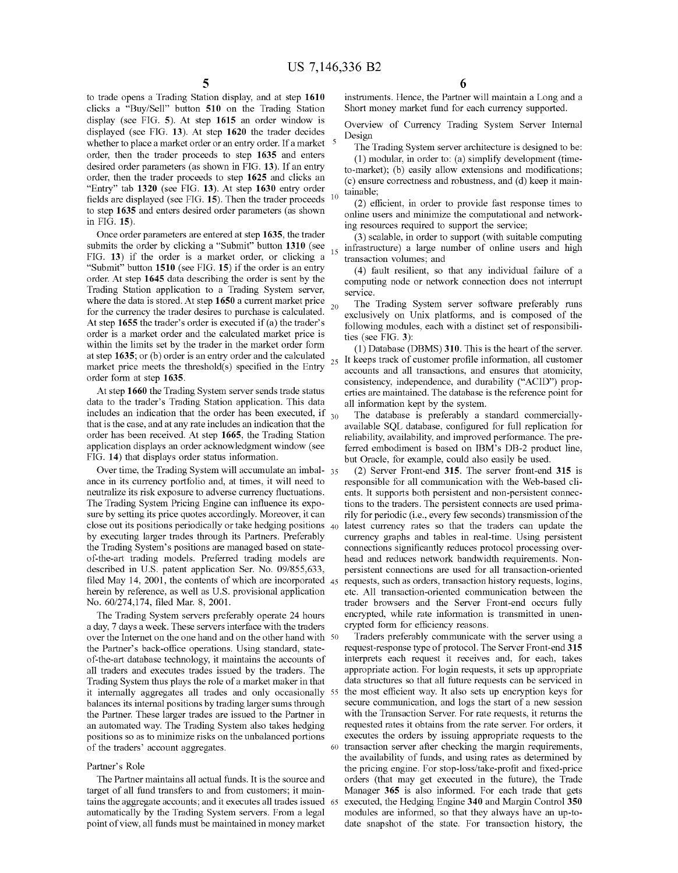to trade opens a Trading Station display, and at step **1610**  clicks a "Buy/Sell" button **510** on the Trading Station display (see FIG. **5).** At step **1615** an order window is displayed (see FIG. **13).** At step **1620** the trader decides whether to place a market order or an entry order. If a market  $5$ order, then the trader proceeds to step **1635** and enters desired order parameters (as shown in FIG. **13).** If an entry order, then the trader proceeds to step **1625** and clicks an "Entry" tab **1320** (see FIG. **13).** At step **1630** entry order fields are displayed (see FIG. **15).** Then the trader proceeds <sup>10</sup> to step **1635** and enters desired order parameters ( as shown in FIG. **15).** 

Once order parameters are entered at step **1635,** the trader submits the order by clicking a "Submit" button **1310** (see FIG. **13)** if the order is a market order, or clicking a "Submit" button **1510** (see FIG. **15)** if the order is an entry order. At step **1645** data describing the order is sent by the Trading Station application to a Trading System server, where the data is stored. At step **1650** a current market price for the currency the trader desires to purchase is calculated. <sup>20</sup> At step **1655** the trader's order is executed if (a) the trader's order is a market order and the calculated market price is within the limits set by the trader in the market order form at step **1635**; or (b) order is an entry order and the calculated market price meets the threshold(s) specified in the Entry  $25$ order form at step **1635.** 

At step **1660** the Trading System server sends trade status data to the trader's Trading Station application. This data includes an indication that the order has been executed, if  $_{30}$ that is the case, and at any rate includes an indication that the order has been received. At step **1665,** the Trading Station application displays an order acknowledgment window (see FIG. **14)** that displays order status information.

Over time, the Trading System will accumulate an imbal- 35 ance in its currency portfolio and, at times, it will need to neutralize its risk exposure to adverse currency fluctuations. The Trading System Pricing Engine can influence its exposure by setting its price quotes accordingly. Moreover, it can close out its positions periodically or take hedging positions 40 latest currency rates so that the traders can update the by executing larger trades through its Partners. Preferably the Trading System's positions are managed based on stateof-the-art trading models. Preferred trading models are described in U.S. patent application Ser. No. 09/855,633, filed May 14, 2001, the contents of which are incorporated herein by reference, as well as U.S. provisional application No. 60/274,174, filed Mar. 8, 2001.

The Trading System servers preferably operate 24 hours a day, 7 days a week. These servers interface with the traders over the Internet on the one hand and on the other hand with 50 the Partner's back-office operations. Using standard, stateof-the-art database technology, it maintains the accounts of all traders and executes trades issued by the traders. The Trading System thus plays the role of a market maker in that it internally aggregates all trades and only occasionally 55 balances its internal positions by trading larger sums through the Partner. These larger trades are issued to the Partner in an automated way. The Trading System also takes hedging positions so as to minimize risks on the unbalanced portions of the traders' account aggregates.

#### Partner's Role

The Partner maintains all actual funds. It is the source and target of all fund transfers to and from customers; it maintains the aggregate accounts; and it executes all trades issued 65 automatically by the Trading System servers. From a legal point of view, all funds must be maintained in money market

instruments. Hence, the Partner will maintain a Long and a Short money market fund for each currency supported.

Overview of Currency Trading System Server Internal Design

The Trading System server architecture is designed to be: (1) modular, in order to: (a) simplify development (timeto-market); (b) easily allow extensions and modifications; (c) ensure correctness and robustness, and (d) keep it maintainable;

(2) efficient, in order to provide fast response times to online users and minimize the computational and networking resources required to support the service;

(3) scalable, in order to support (with suitable computing infrastructure) a large number of online users and high transaction volumes; and

( 4) fault resilient, so that any individual failure of a computing node or network connection does not interrupt service.

The Trading System server software preferably runs exclusively on Unix platforms, and is composed of the following modules, each with a distinct set of responsibilities (see FIG. **3):** 

(1) Database (DBMS) **310.** This is the heart of the server. It keeps track of customer profile information, all customer accounts and all transactions, and ensures that atomicity, consistency, independence, and durability ("ACID") properties are maintained. The database is the reference point for all information kept by the system.

The database is preferably a standard commerciallyavailable SQL database, configured for full replication for reliability, availability, and improved performance. The preferred embodiment is based on IBM's DB-2 product line, but Oracle, for example, could also easily be used.

(2) Server Front-end **315.** The server front-end **315** is responsible for all communication with the Web-based clients. It supports both persistent and non-persistent connections to the traders. The persistent connects are used primarily for periodic (i.e., every few seconds) transmission of the currency graphs and tables in real-time. Using persistent connections significantly reduces protocol processing overhead and reduces network bandwidth requirements. Nonpersistent connections are used for all transaction-oriented requests, such as orders, transaction history requests, logins, etc. All transaction-oriented communication between the trader browsers and the Server Front-end occurs fully encrypted, while rate information is transmitted in unencrypted form for efficiency reasons.

Traders preferably communicate with the server using a request-response type of protocol. The Server Front-end **315**  interprets each request it receives and, for each, takes appropriate action. For login requests, it sets up appropriate data structures so that all future requests can be serviced in the most efficient way. It also sets up encryption keys for secure communication, and logs the start of a new session with the Transaction Server. For rate requests, it returns the requested rates it obtains from the rate server. For orders, it executes the orders by issuing appropriate requests to the 60 transaction server after checking the margin requirements, the availability of funds, and using rates as determined by the pricing engine. For stop-loss/take-profit and fixed-price orders (that may get executed in the future), the Trade Manager **365** is also informed. For each trade that gets 65 executed, the Hedging Engine **340** and Margin Control **350**  modules are informed, so that they always have an up-todate snapshot of the state. For transaction history, the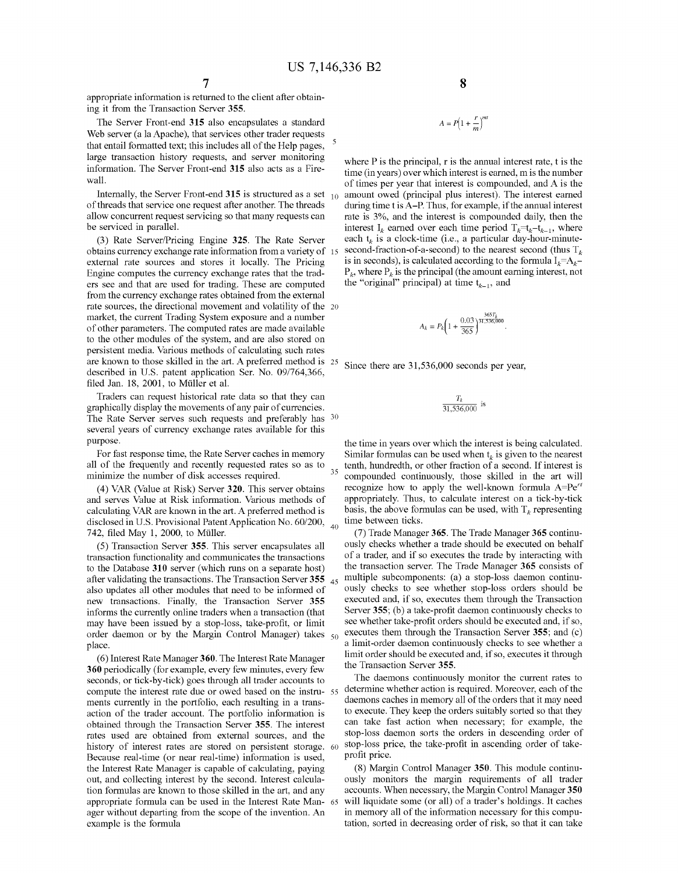appropriate information is returned to the client after obtaining it from the Transaction Server **355.** 

The Server Front-end **315** also encapsulates a standard Web server (a la Apache), that services other trader requests that entail formatted text; this includes all of the Help pages, <sup>5</sup> large transaction history requests, and server monitoring information. The Server Front-end **315** also acts as a Firewall.

Internally, the Server Front-end **315** is structured as a set of threads that service one request after another. The threads allow concurrent request servicing so that many requests can be serviced in parallel.

(3) Rate Server/Pricing Engine **325.** The Rate Server obtains currency exchange rate information from a variety of external rate sources and stores it locally. The Pricing Engine computes the currency exchange rates that the traders see and that are used for trading. These are computed the "original" principal) at time  $t_{k-1}$ , and from the currency exchange rates obtained from the external rate sources, the directional movement and volatility of the 20 market, the current Trading System exposure and a number of other parameters. The computed rates are made available to the other modules of the system, and are also stored on persistent media. Various methods of calculating such rates are known to those skilled in the art. A preferred method is 25 Since there are 31,536,000 seconds per year, described in U.S. patent application Ser. No. 09/764,366, filed Jan. 18, 2001, to Müller et al.

Traders can request historical rate data so that they can graphically display the movements of any pair of currencies. The Rate Server serves such requests and preferably has 30 several years of currency exchange rates available for this purpose.

all of the frequently and recently requested rates so as to all of the frequently and recently requested rates so as to  $\frac{35}{2}$  tenth, hundredth, or other fraction of a second. If interest is minimize the number of disk accesses required.

(4) VAR (Value at Risk) Server **320.** This server obtains and serves Value at Risk information. Various methods of calculating VAR are known in the art. A preferred method is disclosed in U.S. Provisional Patent Application No. 60/200, <sub>40</sub><br>742, filed May 1, 2000, to Müller.

(5) Transaction Server **355.** This server encapsulates all transaction functionality and communicates the transactions to the Database 310 server (which runs on a separate host) the transaction server. The Trade Manager 365 consists of after validating the transactions. The Transaction Server **355**  also updates all other modules that need to be informed of new transactions. Finally, the Transaction Server **355**  informs the currently online traders when a transaction (that may have been issued by a stop-loss, take-profit, or limit order daemon or by the Margin Control Manager) takes  $50$ place.

the Transaction Server **355.** (6) Interest Rate Manager **360.** The Interest Rate Manager **360** periodically (for example, every few minutes, every few seconds, or tick-by-tick) goes through all trader accounts to compute the interest rate due or owed based on the instru- 55 ments currently in the portfolio, each resulting in a transaction of the trader account. The portfolio information is obtained through the Transaction Server **355.** The interest rates used are obtained from external sources, and the history of interest rates are stored on persistent storage. 60 Because real-time (or near real-time) information is used, the Interest Rate Manager is capable of calculating, paying out, and collecting interest by the second. Interest calculation formulas are known to those skilled in the art, and any appropriate formula can be used in the Interest Rate Man- 65 ager without departing from the scope of the invention. An example is the formula

**8** 

$$
A = P\left(1 + \frac{r}{m}\right)^{mt}
$$

where P is the principal, r is the annual interest rate, t is the time (in years) over which interest is earned, m is the number of times per year that interest is compounded, and A is the amount owed (principal plus interest). The interest earned during time t is A-P. Thus, for example, if the annual interest rate is 3%, and the interest is compounded daily, then the interest  $I_k$  earned over each time period  $T_k=t_{k-1}$ , where each  $t_k$  is a clock-time (i.e., a particular day-hour-minutesecond-fraction-of-a-second) to the nearest second (thus  $T_k$ is in seconds), is calculated according to the formula  $I_k = A_k - I_k$  $P_k$ , where  $P_k$  is the principal (the amount earning interest, not

$$
A_k = P_k \bigg( 1 + \frac{0.03}{365} \bigg)^{\frac{365T_k}{31,536,000}}.
$$

$$
\frac{T_k}{31,536,000}
$$
 is

the time in years over which the interest is being calculated. For fast response time, the Rate Server caches in memory Similar formulas can be used when  $t_k$  is given to the nearest compounded continuously, those skilled in the art will recognize how to apply the well-known formula *A=Per'*  appropriately. Thus, to calculate interest on a tick-by-tick basis, the above formulas can be used, with  $T_k$  representing time between ticks.

> (7) Trade Manager **365.** The Trade Manager **365** continuously checks whether a trade should be executed on behalf of a trader, and if so executes the trade by interacting with multiple subcomponents: (a) a stop-loss daemon continuously checks to see whether stop-loss orders should be executed and, if so, executes them through the Transaction Server **355;** (b) a take-profit daemon continuously checks to see whether take-profit orders should be executed and, if so, executes them through the Transaction Server 355; and (c) a limit-order daemon continuously checks to see whether a limit order should be executed and, if so, executes it through

> The daemons continuously monitor the current rates to determine whether action is required. Moreover, each of the daemons caches in memory all of the orders that it may need to execute. They keep the orders suitably sorted so that they can take fast action when necessary; for example, the stop-loss daemon sorts the orders in descending order of stop-loss price, the take-profit in ascending order of takeprofit price.

> (8) Margin Control Manager **350.** This module continuously monitors the margin requirements of all trader accounts. When necessary, the Margin Control Manager **350**  will liquidate some (or all) of a trader's holdings. It caches in memory all of the information necessary for this computation, sorted in decreasing order of risk, so that it can take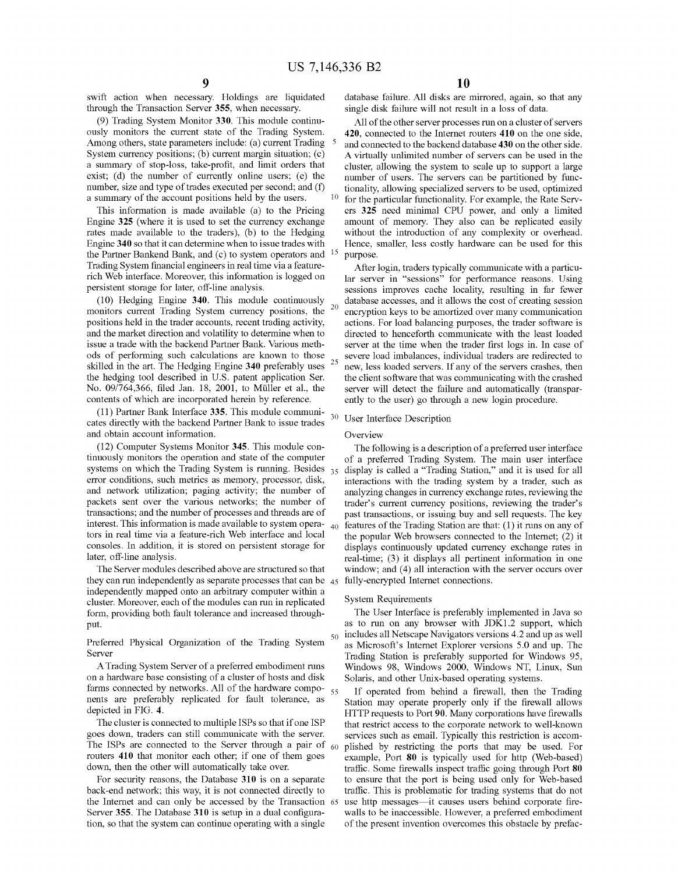swift action when necessary. Holdings are liquidated through the Transaction Server **355,** when necessary.

(9) Trading System Monitor **330.** This module continuously monitors the current state of the Trading System. Among others, state parameters include: (a) current Trading 5 System currency positions; (b) current margin situation; (c) a summary of stop-loss, take-profit, and limit orders that exist; (d) the number of currently online users; (e) the number, size and type of trades executed per second; and (f)

This information is made available (a) to the Pricing Engine **325** (where it is used to set the currency exchange rates made available to the traders), (b) to the Hedging Engine **340** so that it can determine when to issue trades with the Partner Bankend Bank, and (c) to system operators and Trading System financial engineers in real time via a featurerich Web interface. Moreover, this information is logged on persistent storage for later, off-line analysis.

(10) Hedging Engine **340.** This module continuously monitors current Trading System currency positions, the  $20$ positions held in the trader accounts, recent trading activity, and the market direction and volatility to determine when to issue a trade with the backend Partner Bank. Various methods of performing such calculations are known to those skilled in the art. The Hedging Engine **340** preferably uses the hedging tool described in U.S. patent application Ser. No. 09/764,366, filed Jan. 18, 2001, to Muller et al., the contents of which are incorporated herein by reference.

(11) Partner Bank Interface **335.** This module communicates directly with the backend Partner Bank to issue trades and obtain account information.

(12) Computer Systems Monitor **345.** This module continuously monitors the operation and state of the computer systems on which the Trading System is running. Besides  $35$ error conditions, such metrics as memory, processor, disk, and network utilization; paging activity; the number of packets sent over the various networks; the number of transactions; and the number of processes and threads are of interest. This information is made available to system opera- $_{40}$ tors in real time via a feature-rich Web interface and local consoles. In addition, it is stored on persistent storage for later, off-line analysis.

The Server modules described above are structured so that they can run independently as separate processes that can be 45 independently mapped onto an arbitrary computer within a cluster. Moreover, each of the modules can run in replicated form, providing both fault tolerance and increased throughput.

Preferred Physical Organization of the Trading System Server

A Trading System Server of a preferred embodiment runs on a hardware base consisting of a cluster of hosts and disk farms connected by networks. All of the hardware compo-  $_{55}$ nents are preferably replicated for fault tolerance, as depicted in FIG. **4.** 

The cluster is connected to multiple ISPs so that if one ISP goes down, traders can still communicate with the server. The ISPs are connected to the Server through a pair of  $_{60}$ routers **410** that monitor each other; if one of them goes down, then the other will automatically take over.

For security reasons, the Database **310** is on a separate back-end network; this way, it is not connected directly to the Internet and can only be accessed by the Transaction 65 Server **355.** The Database **310** is setup in a dual configuration, so that the system can continue operating with a single

database failure. All disks are mirrored, again, so that any single disk failure will not result in a loss of data.

All of the other server processes run on a cluster of servers **420,** connected to the Internet routers **410** on the one side, and connected to the backend database **430** on the other side. A virtually unlimited number of servers can be used in the cluster, allowing the system to scale up to support a large number of users. The servers can be partitioned by functionality, allowing specialized servers to be used, optimized a summary of the account positions held by the users. <sup>10</sup> for the particular functionality. For example, the Rate Servers **325** need minimal CPU power, and only a limited amount of memory. They also can be replicated easily without the introduction of any complexity or overhead. Hence, smaller, less costly hardware can be used for this purpose.

> After login, traders typically communicate with a particular server in "sessions" for performance reasons. Using sessions improves cache locality, resulting in far fewer database accesses, and it allows the cost of creating session encryption keys to be amortized over many communication actions. For load balancing purposes, the trader software is directed to henceforth communicate with the least loaded server at the time when the trader first logs in. In case of severe load imbalances, individual traders are redirected to 25 new, less loaded servers. If any of the servers crashes, then the client software that was communicating with the crashed server will detect the failure and automatically (transparently to the user) go through a new login procedure.

## 30 User Interface Description

#### **Overview**

The following is a description of a preferred user interface of a preferred Trading System. The main user interface display is called a "Trading Station," and it is used for all interactions with the trading system by a trader, such as analyzing changes in currency exchange rates, reviewing the trader's current currency positions, reviewing the trader's past transactions, or issuing buy and sell requests. The key features of the Trading Station are that: (1) it runs on any of the popular Web browsers connected to the Internet; (2) it displays continuously updated currency exchange rates in real-time; (3) it displays all pertinent information in one window; and (4) all interaction with the server occurs over fully-encrypted Internet connections.

#### System Requirements

The User Interface is preferably implemented in Java so as to run on any browser with  $JDK1.2$  support, which 50 includes all Netscape Navigators versions 4.2 and up as well as Microsoft's Internet Explorer versions 5.0 and up. The Trading Station is preferably supported for Windows 95, Windows 98, Windows 2000, Windows NT, Linux, Sun Solaris, and other Unix-based operating systems.

If operated from behind a firewall, then the Trading Station may operate properly only if the firewall allows HTTP requests to Port **90.** Many corporations have firewalls that restrict access to the corporate network to well-known services such as email. Typically this restriction is accomplished by restricting the ports that may be used. For example, Port **80** is typically used for http (Web-based) traffic. Some firewalls inspect traffic going through Port **80**  to ensure that the port is being used only for Web-based traffic. This is problematic for trading systems that do not use http messages-it causes users behind corporate firewalls to be inaccessible. However, a preferred embodiment of the present invention overcomes this obstacle by prefac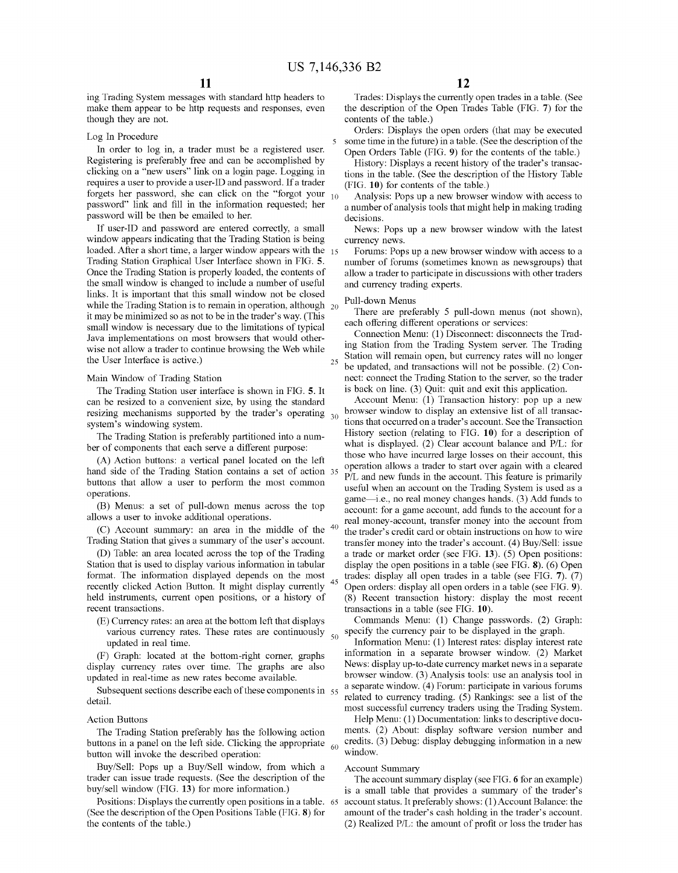ing Trading System messages with standard http headers to make them appear to be http requests and responses, even though they are not.

#### Log In Procedure

In order to log in, a trader must be a registered user. Registering is preferably free and can be accomplished by clicking on a "new users" link on a login page. Logging in requires a user to provide a user-ID and password. If a trader forgets her password, she can click on the "forgot your  $_{10}$ password" link and fill in the information requested; her password will be then be emailed to her.

If user-ID and password are entered correctly, a small window appears indicating that the Trading Station is being loaded. After a short time, a larger window appears with the 15 Trading Station Graphical User Interface shown in FIG. **5.**  Once the Trading Station is properly loaded, the contents of the small window is changed to include a number of useful links. It is important that this small window not be closed while the Trading Station is to remain in operation, although  $20$ it may be minimized so as not to be in the trader's way. (This small window is necessary due to the limitations of typical Java implementations on most browsers that would otherwise not allow a trader to continue browsing the Web while which not anow a uader to commute prowsing the Web winner. Station will remain open, but currency rates will no longer the User Interface is active.)

#### Main Window of Trading Station

The Trading Station user interface is shown in FIG. **5.** It can be resized to a convenient size, by using the standard resizing mechanisms supported by the trader's operating  $_{30}$ system's windowing system.

The Trading Station is preferably partitioned into a number of components that each serve a different purpose:

(A) Action buttons: a vertical panel located on the left hand side of the Trading Station contains a set of action buttons that allow a user to perform the most common operations.

(B) Menus: a set of pull-down menus across the top allows a user to invoke additional operations.

(C) Account summary: an area in the middle of the Trading Station that gives a summary of the user's account.

(D) Table: an area located across the top of the Trading Station that is used to display various information in tabular format. The information displayed depends on the most recently clicked Action Button. It might display currently held instruments, current open positions, or a history of recent transactions.

(E) Currency rates: an area at the bottom left that displays various currency rates. These rates are continuously  $\frac{1}{50}$ updated in real time.

(F) Graph: located at the bottom-right comer, graphs display currency rates over time. The graphs are also updated in real-time as new rates become available.

Subsequent sections describe each of these components in 55 detail.

#### Action Buttons

The Trading Station preferably has the following action buttons in a panel on the left side. Clicking the appropriate  $_{60}$ button will invoke the described operation:

Buy/Sell: Pops up a Buy/Sell window, from which a trader can issue trade requests. (See the description of the buy/sell window (FIG. **13)** for more information.)

Positions: Displays the currently open positions in a table. (See the description of the Open Positions Table (FIG. **8)** for the contents of the table.)

Trades: Displays the currently open trades in a table. (See the description of the Open Trades Table (FIG. **7)** for the contents of the table.)

Orders: Displays the open orders (that may be executed 5 some time in the future) in a table. (See the description of the Open Orders Table (FIG. **9)** for the contents of the table.)

History: Displays a recent history of the trader's transactions in the table. (See the description of the History Table (FIG. **10)** for contents of the table.)

Analysis: Pops up a new browser window with access to a number of analysis tools that might help in making trading decisions.

News: Pops up a new browser window with the latest currency news.

Forums: Pops up a new browser window with access to a number of forums (sometimes known as newsgroups) that allow a trader to participate in discussions with other traders and currency trading experts.

#### Pull-down Menus

There are preferably 5 pull-down menus (not shown), each offering different operations or services:

Connection Menu: (1) Disconnect: disconnects the Trading Station from the Trading System server. The Trading be updated, and transactions will not be possible. (2) Connect: connect the Trading Station to the server, so the trader is back on line. (3) Quit: quit and exit this application.

Account Menu: (1) Transaction history: pop up a new browser window to display an extensive list of all transactions that occurred on a trader's account. See the Transaction History section (relating to FIG. **10)** for a description of what is displayed. (2) Clear account balance and P/L: for those who have incurred large losses on their account, this operation allows a trader to start over again with a cleared P/L and new funds in the account. This feature is primarily useful when an account on the Trading System is used as a game-i.e., no real money changes hands. (3) Add funds to account: for a game account, add funds to the account for a real money-account, transfer money into the account from<br>the trader's credit card or obtain instructions on how to wire transfer money into the trader's account. (4) Buy/Sell: issue a trade or market order (see FIG. **13).** (5) Open positions: display the open positions in a table (see FIG. **8).** (6) Open 45 trades: display all open trades in a table (see FIG. **7).** (7) Open orders: display all open orders in a table (see FIG. **9).**  (8) Recent transaction history: display the most recent transactions in a table (see FIG. **10).** 

Commands Menu: (1) Change passwords. (2) Graph: specify the currency pair to be displayed in the graph.

Information Menu: (1) Interest rates: display interest rate information in a separate browser window. (2) Market News: display up-to-date currency market news in a separate browser window. (3) Analysis tools: use an analysis tool in a separate window. (4) Forum: participate in various forums related to currency trading. (5) Rankings: see a list of the most successful currency traders using the Trading System.

Help Menu: (1) Documentation: links to descriptive documents. (2) About: display software version number and credits. (3) Debug: display debugging information in a new window.

#### Account Summary

The account summary display (see FIG. **6** for an example) is a small table that provides a summary of the trader's account status. It preferably shows: (1) Account Balance: the amount of the trader's cash holding in the trader's account. (2) Realized P/L: the amount of profit or loss the trader has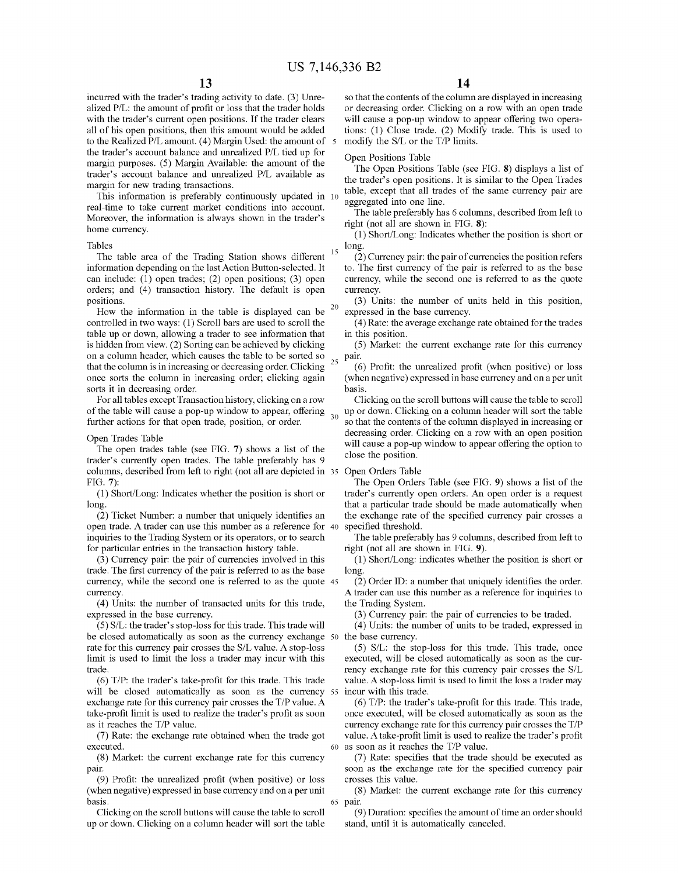incurred with the trader's trading activity to date. (3) Unrealized P/L: the amount of profit or loss that the trader holds with the trader's current open positions. If the trader clears all of his open positions, then this amount would be added to the Realized P/L amount. (4) Margin Used: the amount of 5 the trader's account balance and unrealized P/L tied up for margin purposes. (5) Margin Available: the amount of the trader's account balance and unrealized P/L available as margin for new trading transactions.

This information is preferably continuously updated in 10 real-time to take current market conditions into account. Moreover, the information is always shown in the trader's right (not all are shown in FIG. 8): home currency.

#### Tables

The table area of the Trading Station shows different information depending on the last Action Button-selected. It can include: (1) open trades; (2) open positions; (3) open orders; and (4) transaction history. The default is open positions.

How the information in the table is displayed can be controlled in two ways: (1) Scroll bars are used to scroll the table up or down, allowing a trader to see information that is hidden from view. (2) Sorting can be achieved by clicking on a column header, which causes the table to be sorted so that the column is in increasing or decreasing order. Clicking  $25$ once sorts the column in increasing order; clicking again sorts it in decreasing order.

For all tables except Transaction history, clicking on a row of the table will cause a pop-up window to appear, offering 30 further actions for that open trade, position, or order.

#### Open Trades Table

The open trades table (see FIG. **7)** shows a list of the trader's currently open trades. The table preferably has 9 colunms, described from left to right (not all are depicted in 35 Open Orders Table FIG. **7):** 

(1) Short/Long: Indicates whether the position is short or long.

(2) Ticket Number: a number that uniquely identifies an open trade. A trader can use this number as a reference for 40 inquiries to the Trading System or its operators, or to search for particular entries in the transaction history table.

(3) Currency pair: the pair of currencies involved in this trade. The first currency of the pair is referred to as the base currency, while the second one is referred to as the quote 45 currency.

(4) Units: the number of transacted units for this trade, expressed in the base currency.

(5) S/L: the trader's stop-loss for this trade. This trade will be closed automatically as soon as the currency exchange 50 rate for this currency pair crosses the S/L value. A stop-loss limit is used to limit the loss a trader may incur with this trade.

(6) T/P: the trader's take-profit for this trade. This trade will be closed automatically as soon as the currency 55 exchange rate for this currency pair crosses the T/P value. A take-profit limit is used to realize the trader's profit as soon as it reaches the TIP value.

(7) Rate: the exchange rate obtained when the trade got executed.

(8) Market: the current exchange rate for this currency pair.

(9) Profit: the unrealized profit (when positive) or loss (when negative) expressed in base currency and on a per unit basis.

Clicking on the scroll buttons will cause the table to scroll up or down. Clicking on a colunm header will sort the table so that the contents of the column are displayed in increasing or decreasing order. Clicking on a row with an open trade will cause a pop-up window to appear offering two operations: (1) Close trade. (2) Modify trade. This is used to modify the S/L or the T/P limits.

#### Open Positions Table

The Open Positions Table (see FIG. **8)** displays a list of the trader's open positions. It is similar to the Open Trades table, except that all trades of the same currency pair are aggregated into one line.

The table preferably has 6 columns, described from left to

(1) Short/Long: Indicates whether the position is short or  $\frac{15}{2}$  long.

(2) Currency pair: the pair of currencies the position refers to. The first currency of the pair is referred to as the base currency, while the second one is referred to as the quote currency.

(3) Units: the number of units held in this position,<br> $20 \text{ expressed in the base current}$ expressed in the base currency.

( 4) Rate: the average exchange rate obtained for the trades in this position.

(5) Market: the current exchange rate for this currency pair.

(6) Profit: the unrealized profit (when positive) or loss (when negative) expressed in base currency and on a per unit basis.

Clicking on the scroll buttons will cause the table to scroll up or down. Clicking on a colunm header will sort the table so that the contents of the colunm displayed in increasing or decreasing order. Clicking on a row with an open position will cause a pop-up window to appear offering the option to close the position.

The Open Orders Table (see FIG. **9)** shows a list of the trader's currently open orders. An open order is a request that a particular trade should be made automatically when the exchange rate of the specified currency pair crosses a specified threshold.

The table preferably has 9 columns, described from left to right (not all are shown in FIG. **9).** 

(1) Short/Long: indicates whether the position is short or long.

(2) Order ID: a number that uniquely identifies the order. A trader can use this number as a reference for inquiries to the Trading System.

(3) Currency pair: the pair of currencies to be traded.

( 4) Units: the number of units to be traded, expressed in the base currency.

(5) S/L: the stop-loss for this trade. This trade, once executed, will be closed automatically as soon as the currency exchange rate for this currency pair crosses the S/L value. A stop-loss limit is used to limit the loss a trader may incur with this trade.

(6) T/P: the trader's take-profit for this trade. This trade, once executed, will be closed automatically as soon as the currency exchange rate for this currency pair crosses the T/P value. A take-profit limit is used to realize the trader's profit 60 as soon as it reaches the TIP value.

(7) Rate: specifies that the trade should be executed as soon as the exchange rate for the specified currency pair crosses this value.

(8) Market: the current exchange rate for this currency 65 pair.

(9) Duration: specifies the amount of time an order should stand, until it is automatically canceled.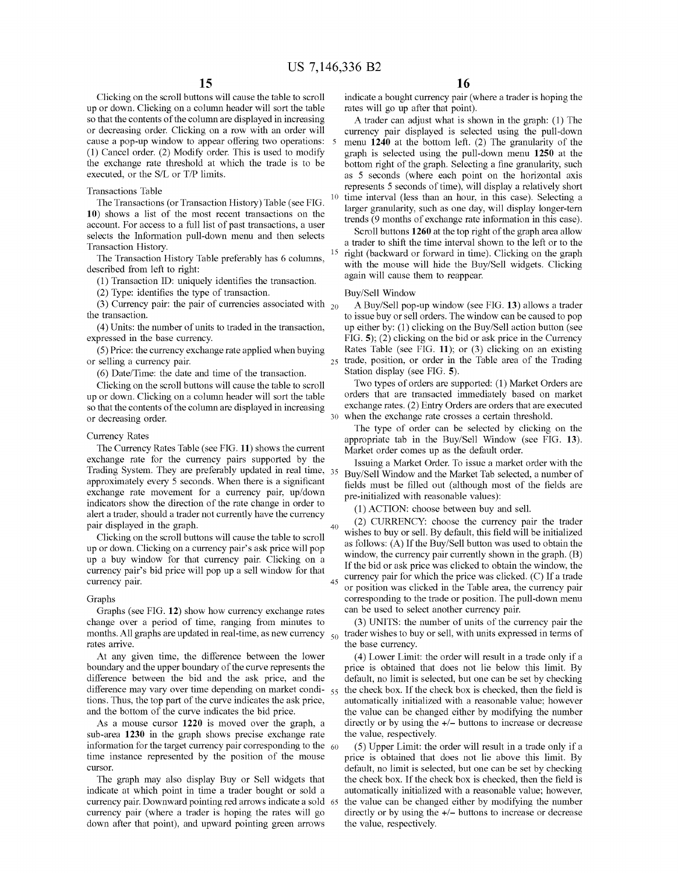Clicking on the scroll buttons will cause the table to scroll up or down. Clicking on a column header will sort the table so that the contents of the column are displayed in increasing or decreasing order. Clicking on a row with an order will cause a pop-up window to appear offering two operations: (1) Cancel order. (2) Modify order. This is used to modify the exchange rate threshold at which the trade is to be executed, or the S/L or T/P limits.

#### Transactions Table

The Transactions (or Transaction History) Table (see FIG. **10)** shows a list of the most recent transactions on the account. For access to a full list of past transactions, a user selects the Information pull-down menu and then selects Transaction History.

The Transaction History Table preferably has 6 columns, described from left to right:

(1) Transaction ID: uniquely identifies the transaction.

(2) Type: identifies the type of transaction.

(3) Currency pair: the pair of currencies associated with  $_{20}$ the transaction.

(4) Units: the number of units to traded in the transaction, expressed in the base currency.

(5) Price: the currency exchange rate applied when buying or selling a currency pair.

( 6) Date/Time: the date and time of the transaction.

Clicking on the scroll buttons will cause the table to scroll up or down. Clicking on a column header will sort the table so that the contents of the column are displayed in increasing or decreasing order.

#### Currency Rates

The Currency Rates Table (see FIG. **11)** shows the current exchange rate for the currency pairs supported by the Trading System. They are preferably updated in real time, 35 approximately every 5 seconds. When there is a significant exchange rate movement for a currency pair, up/down indicators show the direction of the rate change in order to alert a trader, should a trader not currently have the currency pair displayed in the graph.  $\begin{pmatrix} 2 \end{pmatrix}$  CURRENCY: choose the currency pair the trader pair that trader

Clicking on the scroll buttons will cause the table to scroll up or down. Clicking on a currency pair's ask price will pop up a buy window for that currency pair. Clicking on a currency pair's bid price will pop up a sell window for that currency pair.

#### Graphs

Graphs (see FIG. **12)** show how currency exchange rates change over a period of time, ranging from minutes to months. All graphs are updated in real-time, as new currency  $\frac{1}{50}$ rates arrive.

At any given time, the difference between the lower boundary and the upper boundary of the curve represents the difference between the bid and the ask price, and the difference may vary over time depending on market conditions. Thus, the top part of the curve indicates the ask price, and the bottom of the curve indicates the bid price.

sub-area **1230** in the graph shows precise exchange rate information for the target currency pair corresponding to the  $60$ time instance represented by the position of the mouse cursor.

The graph may also display Buy or Sell widgets that indicate at which point in time a trader bought or sold a currency pair. Downward pointing red arrows indicate a sold currency pair (where a trader is hoping the rates will go down after that point), and upward pointing green arrows

indicate a bought currency pair (where a trader is hoping the rates will go up after that point).

A trader can adjust what is shown in the graph: (1) The currency pair displayed is selected using the pull-down menu **1240** at the bottom left. (2) The granularity of the graph is selected using the pull-down menu **1250** at the bottom right of the graph. Selecting a fine granularity, such as 5 seconds (where each point on the horizontal axis represents 5 seconds of time), will display a relatively short time interval (less than an hour, in this case). Selecting a larger granularity, such as one day, will display longer-tern trends (9 months of exchange rate information in this case).

Scroll buttons **1260** at the top right of the graph area allow a trader to shift the time interval shown to the left or to the 15 right (backward or forward in time). Clicking on the graph with the mouse will hide the Buy/Sell widgets. Clicking again will cause them to reappear.

#### Buy/Sell Window

A Buy/Sell pop-up window (see FIG. **13)** allows a trader to issue buy or sell orders. The window can be caused to pop up either by: (1) clicking on the Buy/Sell action button (see FIG. **5);** (2) clicking on the bid or ask price in the Currency Rates Table (see FIG. **11);** or (3) clicking on an existing 25 trade, position, or order in the Table area of the Trading Station display (see FIG. **5).** 

Two types of orders are supported: (1) Market Orders are orders that are transacted immediately based on market exchange rates. (2) Entry Orders are orders that are executed 30 when the exchange rate crosses a certain threshold.

The type of order can be selected by clicking on the appropriate tab in the Buy/Sell Window (see FIG. **13).**  Market order comes up as the default order.

Issuing a Market Order. To issue a market order with the Buy/Sell Window and the Market Tab selected, a number of fields must be filled out (although most of the fields are pre-initialized with reasonable values):

(1) ACTION: choose between buy and sell.

wishes to buy or sell. By default, this field will be initialized as follows: (A) If the Buy/Sell button was used to obtain the window, the currency pair currently shown in the graph. (B) If the bid or ask price was clicked to obtain the window, the  $_{45}$  currency pair for which the price was clicked. (C) If a trade or position was clicked in the Table area, the currency pair corresponding to the trade or position. The pull-down menu can be used to select another currency pair.

(3) UNITS: the number of units of the currency pair the trader wishes to buy or sell, with units expressed in terms of the base currency.

( 4) Lower Limit: the order will result in a trade only if a price is obtained that does not lie below this limit. By default, no limit is selected, but one can be set by checking the check box. If the check box is checked, then the field is automatically initialized with a reasonable value; however the value can be changed either by modifying the number As a mouse cursor **1220** is moved over the graph, a directly or by using the +/- buttons to increase or decrease the value, respectively.

> (5) Upper Limit: the order will result in a trade only if a price is obtained that does not lie above this limit. By default, no limit is selected, but one can be set by checking the check box. If the check box is checked, then the field is automatically initialized with a reasonable value; however, the value can be changed either by modifying the number directly or by using the  $+/-$  buttons to increase or decrease the value, respectively.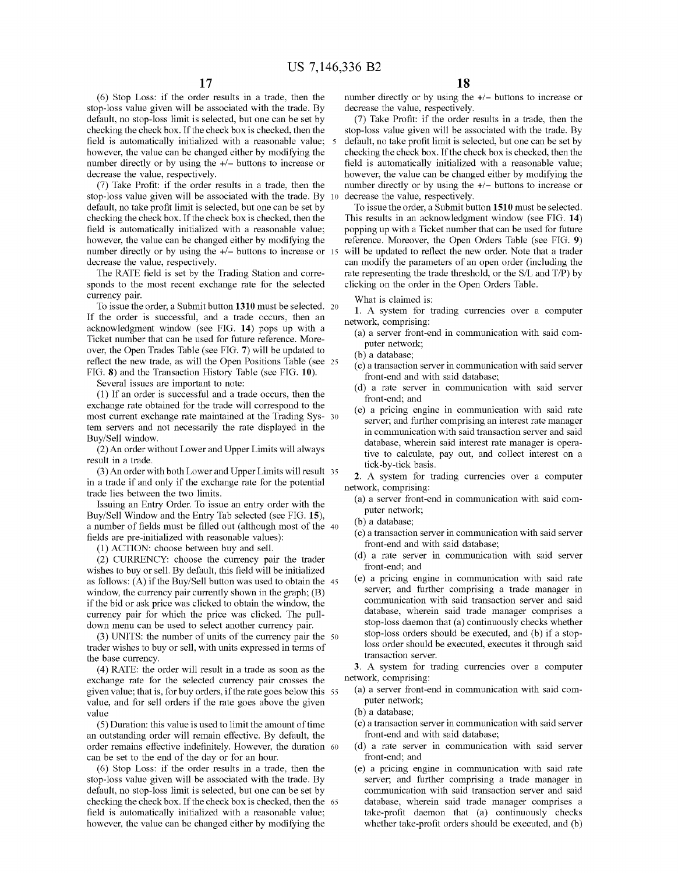(6) Stop Loss: if the order results in a trade, then the stop-loss value given will be associated with the trade. By default, no stop-loss limit is selected, but one can be set by checking the check box. If the check box is checked, then the field is automatically initialized with a reasonable value; however, the value can be changed either by modifying the number directly or by using the  $+/-$  buttons to increase or decrease the value, respectively.

(7) Take Profit: if the order results in a trade, then the stop-loss value given will be associated with the trade. By default, no take profit limit is selected, but one can be set by checking the check box. If the check box is checked, then the field is automatically initialized with a reasonable value; however, the value can be changed either by modifying the number directly or by using the  $+/-$  buttons to increase or 15 decrease the value, respectively.

The RATE field is set by the Trading Station and corresponds to the most recent exchange rate for the selected currency pair.

To issue the order, a Submit button **1310** must be selected. 20 If the order is successful, and a trade occurs, then an acknowledgment window (see FIG. **14)** pops up with a Ticket number that can be used for future reference. Moreover, the Open Trades Table (see FIG. **7)** will be updated to reflect the new trade, as will the Open Positions Table (see 25 FIG. **8)** and the Transaction History Table (see FIG. **10).** 

Several issues are important to note:

(1) If an order is successful and a trade occurs, then the exchange rate obtained for the trade will correspond to the most current exchange rate maintained at the Trading Sys- 30 tern servers and not necessarily the rate displayed in the Buy/Sell window.

(2) An order without Lower and Upper Limits will always result in a trade.

(3) An order with both Lower and Upper Limits will result 35 in a trade if and only if the exchange rate for the potential trade lies between the two limits.

Issuing an Entry Order. To issue an entry order with the Buy/Sell Window and the Entry Tab selected (see FIG. **15),**  a number of fields must be filled out (although most of the 40 fields are pre-initialized with reasonable values):

(1) ACTION: choose between buy and sell.

(2) CURRENCY: choose the currency pair the trader wishes to buy or sell. By default, this field will be initialized as follows: (A) if the Buy/Sell button was used to obtain the 45 window, the currency pair currently shown in the graph; (B) if the bid or ask price was clicked to obtain the window, the currency pair for which the price was clicked. The pulldown menu can be used to select another currency pair.

(3) UNITS: the number of units of the currency pair the 50 trader wishes to buy or sell, with units expressed in terms of the base currency.

(4) RATE: the order will result in a trade as soon as the exchange rate for the selected currency pair crosses the given value; that is, for buy orders, if the rate goes below this 55 value, and for sell orders if the rate goes above the given value

(5) Duration: this value is used to limit the amount of time an outstanding order will remain effective. By default, the order remains effective indefinitely. However, the duration 60 can be set to the end of the day or for an hour.

(6) Stop Loss: if the order results in a trade, then the stop-loss value given will be associated with the trade. By default, no stop-loss limit is selected, but one can be set by checking the check box. If the check box is checked, then the 65 field is automatically initialized with a reasonable value; however, the value can be changed either by modifying the

number directly or by using the  $+/-$  buttons to increase or decrease the value, respectively.

(7) Take Profit: if the order results in a trade, then the stop-loss value given will be associated with the trade. By 5 default, no take profit limit is selected, but one can be set by checking the check box. If the check box is checked, then the field is automatically initialized with a reasonable value; however, the value can be changed either by modifying the number directly or by using the  $+/-$  buttons to increase or decrease the value, respectively.

To issue the order, a Submit button **1510** must be selected. This results in an acknowledgment window (see FIG. **14)**  popping up with a Ticket number that can be used for future reference. Moreover, the Open Orders Table (see FIG. **9)**  will be updated to reflect the new order. Note that a trader can modify the parameters of an open order (including the rate representing the trade threshold, or the S/L and T/P) by clicking on the order in the Open Orders Table.

What is claimed is:

**1.** A system for trading currencies over a computer network, comprising:

- (a) a server front-end in communication with said computer network;
- (b) a database;
- ( c) a transaction server in communication with said server front-end and with said database;
- ( d) a rate server in communication with said server front-end; and
- ( e) a pricing engine in communication with said rate server; and further comprising an interest rate manager in communication with said transaction server and said database, wherein said interest rate manager is operative to calculate, pay out, and collect interest on a tick-by-tick basis.

**2.** A system for trading currencies over a computer network, comprising:

- (a) a server front-end in communication with said computer network;
- (b) a database;
- ( c) a transaction server in communication with said server front-end and with said database;
- ( d) a rate server in communication with said server front-end; and
- ( e) a pricing engine in communication with said rate server; and further comprising a trade manager in communication with said transaction server and said database, wherein said trade manager comprises a stop-loss daemon that (a) continuously checks whether stop-loss orders should be executed, and (b) if a stoploss order should be executed, executes it through said transaction server.

**3.** A system for trading currencies over a computer network, comprising:

- (a) a server front-end in communication with said computer network;
- (b) a database;
- ( c) a transaction server in communication with said server front-end and with said database;
- ( d) a rate server in communication with said server front-end; and
- ( e) a pricing engine in communication with said rate server; and further comprising a trade manager in communication with said transaction server and said database, wherein said trade manager comprises a take-profit daemon that (a) continuously checks whether take-profit orders should be executed, and (b)